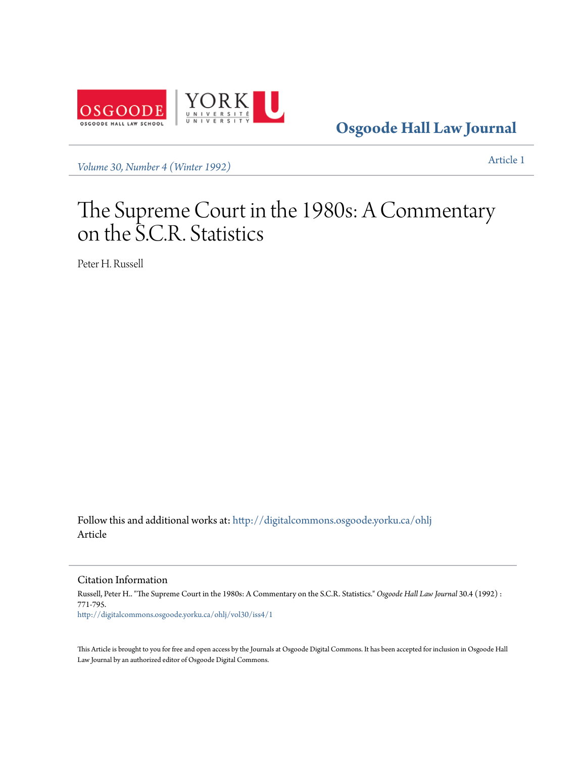

**[Osgoode Hall Law Journal](http://digitalcommons.osgoode.yorku.ca/ohlj?utm_source=digitalcommons.osgoode.yorku.ca%2Fohlj%2Fvol30%2Fiss4%2F1&utm_medium=PDF&utm_campaign=PDFCoverPages)**

*[Volume 30, Number 4 \(Winter 1992\)](http://digitalcommons.osgoode.yorku.ca/ohlj/vol30/iss4?utm_source=digitalcommons.osgoode.yorku.ca%2Fohlj%2Fvol30%2Fiss4%2F1&utm_medium=PDF&utm_campaign=PDFCoverPages)* [Article 1](http://digitalcommons.osgoode.yorku.ca/ohlj/vol30/iss4/1?utm_source=digitalcommons.osgoode.yorku.ca%2Fohlj%2Fvol30%2Fiss4%2F1&utm_medium=PDF&utm_campaign=PDFCoverPages)

# The Supreme Court in the 1980s: A Commentary on the S.C.R. Statistics

Peter H. Russell

Follow this and additional works at: [http://digitalcommons.osgoode.yorku.ca/ohlj](http://digitalcommons.osgoode.yorku.ca/ohlj?utm_source=digitalcommons.osgoode.yorku.ca%2Fohlj%2Fvol30%2Fiss4%2F1&utm_medium=PDF&utm_campaign=PDFCoverPages) Article

Citation Information

Russell, Peter H.. "The Supreme Court in the 1980s: A Commentary on the S.C.R. Statistics." *Osgoode Hall Law Journal* 30.4 (1992) : 771-795. [http://digitalcommons.osgoode.yorku.ca/ohlj/vol30/iss4/1](http://digitalcommons.osgoode.yorku.ca/ohlj/vol30/iss4/1?utm_source=digitalcommons.osgoode.yorku.ca%2Fohlj%2Fvol30%2Fiss4%2F1&utm_medium=PDF&utm_campaign=PDFCoverPages)

This Article is brought to you for free and open access by the Journals at Osgoode Digital Commons. It has been accepted for inclusion in Osgoode Hall Law Journal by an authorized editor of Osgoode Digital Commons.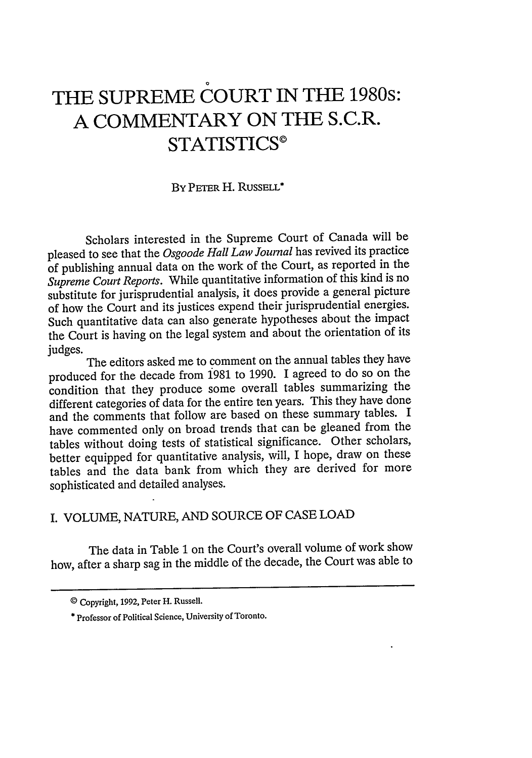# **THE SUPREME COURT IN THE 1980s: A COMMENTARY ON THE S.C.R. STATISTICS©**

#### By **PETER** H. RUSSELL\*

Scholars interested in the Supreme Court of Canada will be pleased to see that the *Osgoode Hall Law Journal* has revived its practice of publishing annual data on the work of the Court, as reported in the *Supreme Court Reports.* While quantitative information of this kind is no substitute for jurisprudential analysis, it does provide a general picture of how the Court and its justices expend their jurisprudential energies. Such quantitative data can also generate hypotheses about the impact the Court is having on the legal system and about the orientation of its judges.

The editors asked me to comment on the annual tables they have produced for the decade from 1981 to 1990. I agreed to do so on the condition that they produce some overall tables summarizing the different categories of data for the entire ten years. This they have done and the comments that follow are based on these summary tables. I have commented only on broad trends that can be gleaned from the tables without doing tests of statistical significance. Other scholars, better equipped for quantitative analysis, will, I hope, draw on these tables and the data bank from which they are derived for more sophisticated and detailed analyses.

## I. VOLUME, NATURE, AND SOURCE OF CASE LOAD

The data in Table 1 on the Court's overall volume of work show how, after a sharp sag in the middle of the decade, the Court was able to

<sup>©</sup> Copyright, 1992, Peter H. Russell.

<sup>\*</sup> Professor of Political Science, University of Toronto.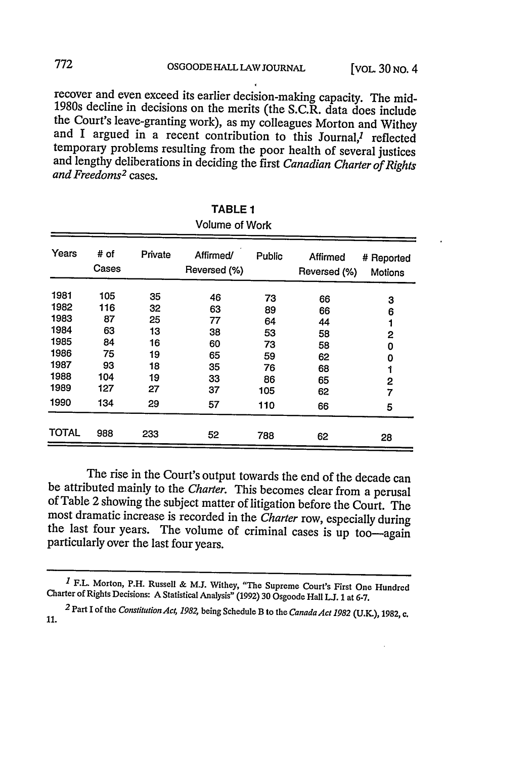recover and even exceed its earlier decision-making capacity. The mid-<br>1980s decline in decisions on the merits (the S.C.R. data does include<br>the Court's leave-granting work), as my colleagues Morton and Withey<br>and I argue and lengthy deliberations in deciding the first *Canadian Charter of Rights* and Freedoms<sup>2</sup> cases.

| Volume of Work |               |         |                           |        |                          |                              |  |  |  |  |  |  |
|----------------|---------------|---------|---------------------------|--------|--------------------------|------------------------------|--|--|--|--|--|--|
| Years          | # of<br>Cases | Private | Affirmed/<br>Reversed (%) | Public | Affirmed<br>Reversed (%) | # Reported<br><b>Motions</b> |  |  |  |  |  |  |
| 1981           | 105           | 35      | 46                        | 73     | 66                       | 3                            |  |  |  |  |  |  |
| 1982           | 116           | 32      | 63                        | 89     | 66                       | 6                            |  |  |  |  |  |  |
| 1983           | 87            | 25      | 77                        | 64     | 44                       |                              |  |  |  |  |  |  |
| 1984           | 63            | 13      | 38                        | 53     | 58                       | 2                            |  |  |  |  |  |  |
| 1985           | 84            | 16      | 60                        | 73     | 58                       | 0                            |  |  |  |  |  |  |
| 1986           | 75            | 19      | 65                        | 59     | 62                       | 0                            |  |  |  |  |  |  |
| 1987           | 93            | 18      | 35                        | 76     | 68                       | 1                            |  |  |  |  |  |  |
| 1988           | 104           | 19      | 33                        | 86     | 65                       | 2                            |  |  |  |  |  |  |
| 1989           | 127           | 27      | 37                        | 105    | 62                       | 7                            |  |  |  |  |  |  |
| 1990           | 134           | 29      | 57                        | 110    | 66                       | 5                            |  |  |  |  |  |  |
| <b>TOTAL</b>   | 988           | 233     | 52                        | 788    | 62                       | 28                           |  |  |  |  |  |  |

TABLE **1**

The rise in the Court's output towards the end of the decade can be attributed mainly to the *Charter*. This becomes clear from a perusal of Table 2 showing the subject matter of litigation before the Court. The most drama the last four years. The volume of criminal cases is up too-again particularly over the last four years.

772

*<sup>1</sup>*F.L. Morton, P.H. Russell & **M.J.** Withey, "The Supreme Court's First One Hundred Charter of Rights Decisions: A Statistical Analysis" (1992) 30 Osgoode Hall **LJ.** 1 at 6-7.

<sup>2</sup> Part I of the *Constitution Act, 1982*, being Schedule B to the *Canada Act 1982* (U.K.), 1982, c. 11.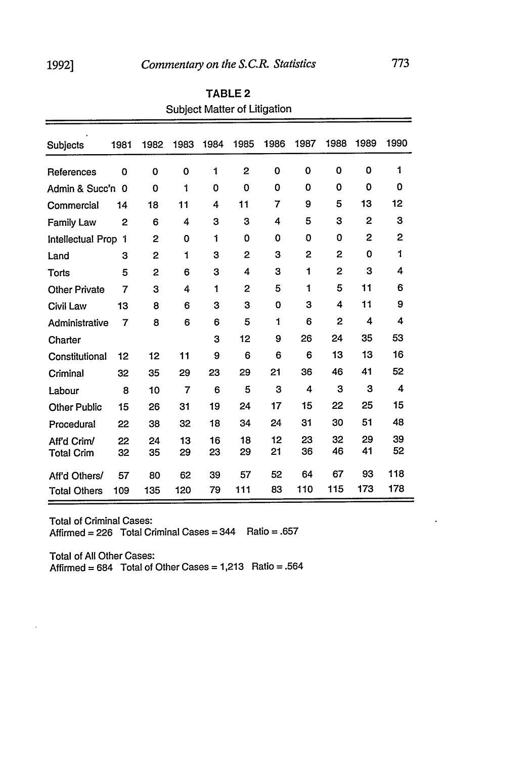$\ddot{\phantom{0}}$ 

| <b>Subjects</b>      | 1981           | 1982 | 1983           | 1984 | 1985           | 1986 | 1987 | 1988           | 1989         | 1990 |
|----------------------|----------------|------|----------------|------|----------------|------|------|----------------|--------------|------|
| References           | 0              | 0    | 0              | 1    | 2              | 0    | 0    | 0              | 0            | 1    |
| Admin & Succ'n       | 0              | 0    | 1              | 0    | 0              | 0    | 0    | 0              | 0            | 0    |
| Commercial           | 14             | 18   | 11             | 4    | 11             | 7    | 9    | 5              | 13           | 12   |
| <b>Family Law</b>    | $\overline{2}$ | 6    | 4              | 3    | 3              | 4    | 5    | 3              | $\mathbf{2}$ | 3    |
| Intellectual Prop    | 1              | 2    | 0              | 1    | 0              | 0    | 0    | $\Omega$       | 2            | 2    |
| Land                 | з              | 2    | 1              | 3    | $\overline{2}$ | 3    | 2    | $\mathbf{2}$   | 0            | 1    |
| Torts                | 5              | 2    | 6              | 3    | 4              | 3    | 1    | $\overline{2}$ | 3            | 4    |
| <b>Other Private</b> | 7              | 3    | 4              | 1    | 2              | 5    | 1    | 5              | 11           | 6    |
| <b>Civil Law</b>     | 13             | 8    | 6              | 3    | 3              | 0    | 3    | 4              | 11           | 9    |
| Administrative       | 7              | 8    | 6              | 6    | 5              | 1    | 6    | $\overline{2}$ | 4            | 4    |
| Charter              |                |      |                | 3    | 12             | 9    | 26   | 24             | 35           | 53   |
| Constitutional       | 12             | 12   | 11             | 9    | 6              | 6    | 6    | 13             | 13           | 16   |
| Criminal             | 32             | 35   | 29             | 23   | 29             | 21   | 36   | 46             | 41           | 52   |
| Labour               | 8              | 10   | $\overline{7}$ | 6    | 5              | 3    | 4    | 3              | 3            | 4    |
| <b>Other Public</b>  | 15             | 26   | 31             | 19   | 24             | 17   | 15   | 22             | 25           | 15   |
| Procedural           | 22             | 38   | 32             | 18   | 34             | 24   | 31   | 30             | 51           | 48   |
| Aff'd Crim/          | 22             | 24   | 13             | 16   | 18             | 12   | 23   | 32             | 29           | 39   |
| <b>Total Crim</b>    | 32             | 35   | 29             | 23   | 29             | 21   | 36   | 46             | 41           | 52   |
| Aff'd Others/        | 57             | 80   | 62             | 39   | 57             | 52   | 64   | 67             | 93           | 118  |
| <b>Total Others</b>  | 109            | 135  | 120            | 79   | 111            | 83   | 110  | 115            | 173          | 178  |

TABLE **2** Subject Matter of Litigation

Total of Criminal Cases: Affirmed **=** 226 Total Criminal Cases = 344 Ratio **=** .657

Total of All Other Cases: Affirmed =  $684$  Total of Other Cases =  $1,213$  Ratio =  $.564$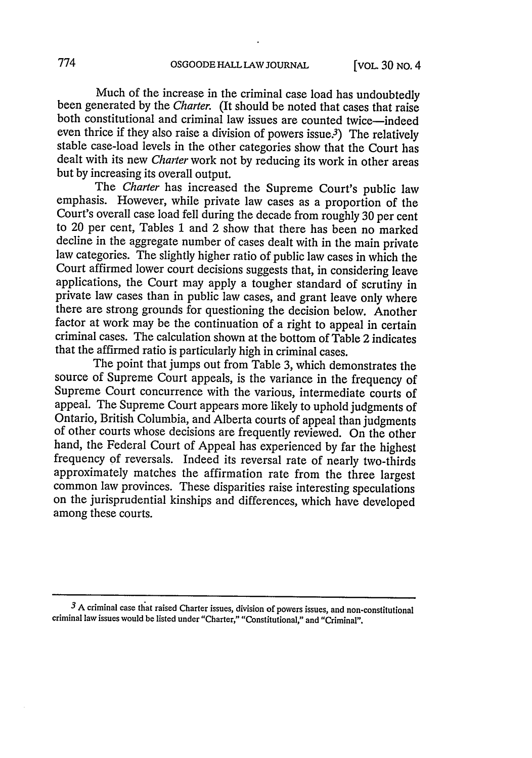Much of the increase in the criminal case load has undoubtedly been generated by the *Charter.* (It should be noted that cases that raise both constitutional and criminal law issues are counted twice—indeed even thrice if they also raise a division of powers issue.<sup>3</sup>) The relatively stable case-load levels in the other categories show that the Court has dealt with its new *Charter* work not by reducing its work in other areas but by increasing its overall output.

The *Charter* has increased the Supreme Court's public law emphasis. However, while private law cases as a proportion of the Court's overall case load fell during the decade from roughly 30 per cent to 20 per cent, Tables 1 and 2 show that there has been no marked law categories. The slightly higher ratio of public law cases in which the Court affirmed lower court decisions suggests that, in considering leave applications, the Court may apply a tougher standard of scrutiny in private law cases than in public law cases, and grant leave only where there are strong grounds for questioning the decision below. Another factor at work may be the continuation of a right to appeal in certain criminal cases. The calculation shown at the bottom of Table 2 indicates that the affirmed ratio is particularly high in criminal cases.

The point that jumps out from Table 3, which demonstrates the source of Supreme Court appeals, is the variance in the frequency of Supreme Court concurrence with the various, intermediate courts of appeal. The Supreme Court appears more likely to uphold judgments of Ontario, British Columbia, and Alberta courts of appeal than judgments of other courts whose decisions are frequently reviewed. On the other hand, the Federal Court of Appeal has experienced by far the highest frequency of reversals. Indeed its reversal rate of nearly two-thirds approximately matches the affirmation rate from the three largest common law provinces. These disparities raise interesting speculations on the jurisprudential kinships and differences, which have developed among these courts.

<sup>&</sup>lt;sup>3</sup> A criminal case that raised Charter issues, division of powers issues, and non-constitutional criminal law issues would be listed under "Charter," "Constitutional," and "Criminal".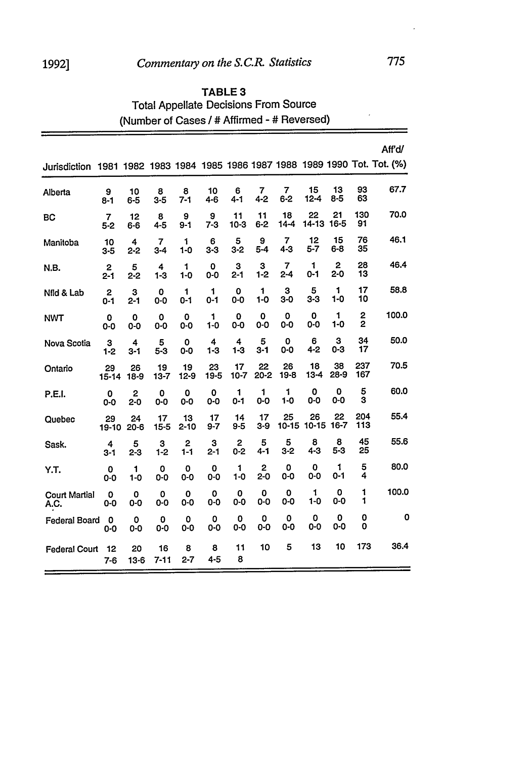## 1992] *Commentary on the S.C.R. Statistics* **775**

### TABLE **3** Total Appellate Decisions From Source (Number of Cases */* **#** Affirmed **- #** Reversed)

|                              |                    |                     |                       |                           |                                    |                    |                           |                        |                  |                     |                     | Aff'd/                                                          |
|------------------------------|--------------------|---------------------|-----------------------|---------------------------|------------------------------------|--------------------|---------------------------|------------------------|------------------|---------------------|---------------------|-----------------------------------------------------------------|
| Jurisdiction                 |                    |                     |                       |                           |                                    |                    |                           |                        |                  |                     |                     | 1981 1982 1983 1984 1985 1986 1987 1988 1989 1990 Tot. Tot. (%) |
| Alberta                      | 9<br>$8 - 1$       | 10<br>$6 - 5$       | 8<br>$3 - 5$          | 8<br>$7 - 1$              | 10<br>4-6                          | 6<br>$4 - 1$       | 7<br>$4 - 2$              | 7<br>$6 - 2$           | 15<br>$12 - 4$   | 13<br>$8 - 5$       | 93<br>63            | 67.7                                                            |
| BC                           | 7<br>$5 - 2$       | 12<br>$6 - 6$       | 8<br>$4 - 5$          | 9<br>$9 - 1$              | 9<br>$7-3$                         | 11<br>$10-3$       | 11<br>$6 - 2$             | 18<br>$14-4$           | 22<br>$14 - 13$  | 21<br>16-5          | 130<br>91           | 70.0                                                            |
| Manitoba                     | 10<br>3-5          | 4<br>$2 - 2$        | $\overline{7}$<br>3-4 | 1<br>$1 - 0$              | 6<br>$3-3$                         | 5<br>$3 - 2$       | 9<br>$5 - 4$              | 7<br>$4 - 3$           | 12<br>$5 - 7$    | 15<br>6-8           | 76<br>35            | 46.1                                                            |
| N.B.                         | 2<br>2-1           | 5<br>$2 - 2$        | 4<br>$1 - 3$          | 1<br>$1 - 0$              | 0<br>$0-0$                         | 3<br>$2 - 1$       | 3<br>$1-2$                | 7<br>$2 - 4$           | 1<br>$0 - 1$     | 2<br>2-0            | 28<br>13            | 46.4                                                            |
| Nfld & Lab                   | 2<br>$0 - 1$       | 3<br>$2 - 1$        | 0<br>0-0              | 1<br>0-1                  | 1<br>0-1                           | 0<br>0-0           | 1<br>$1 - 0$              | 3<br>$3-0$             | 5<br>$3 - 3$     | 1<br>$1 - 0$        | 17<br>10            | 58.8                                                            |
| <b>NWT</b>                   | 0<br>$0 - 0$       | 0<br>$0-0$          | $\mathbf o$<br>0-0    | 0<br>0-0                  | 1<br>1-0                           | $\mathbf 0$<br>0-0 | 0<br>0-0                  | 0<br>0-0               | 0<br>0-0         | 1<br>$1 - 0$        | 2<br>$\overline{2}$ | 100.0                                                           |
| Nova Scotia                  | 3<br>$1-2$         | 4<br>$3 - 1$        | 5<br>$5 - 3$          | $\mathbf 0$<br>$0-0$      | $\overline{\mathbf{4}}$<br>$1 - 3$ | 4<br>$1-3$         | 5<br>$3 - 1$              | $\mathbf 0$<br>$0 - 0$ | 6<br>$4 - 2$     | З<br>$0 - 3$        | 34<br>17            | 50.0                                                            |
| Ontario                      | 29<br>15-14        | 26<br>$18-9$        | 19<br>$13 - 7$        | 19<br>$12 - 9$            | 23<br>$19 - 5$                     | 17<br>$10 - 7$     | 22<br>$20 - 2$            | 26<br>19-8             | 18<br>13-4       | 38<br>28-9          | 237<br>167          | 70.5                                                            |
| P.E.I.                       | $\mathbf 0$<br>0-0 | $\mathbf{2}$<br>2-0 | 0<br>0-0              | $\mathbf 0$<br>$0-0$      | 0<br>$0 - 0$                       | 1<br>$0 - 1$       | 1<br>$0-0$                | 1<br>$1 - 0$           | 0<br>$0-0$       | 0<br>0-0            | 5<br>3              | 60.0                                                            |
| Quebec                       | 29<br>19-10        | 24<br>$20 - 6$      | 17<br>$15 - 5$        | 13<br>$2 - 10$            | 17<br>$9 - 7$                      | 14<br>9-5          | 17<br>$3-9$               | 25<br>$10 - 15$        | 26<br>10-15 16-7 | 22                  | 204<br>113          | 55.4                                                            |
| Sask.                        | 4<br>$3 - 1$       | 5<br>$2 - 3$        | 3<br>$1 - 2$          | $\overline{2}$<br>$1 - 1$ | 3<br>$2 - 1$                       | 2<br>$0 - 2$       | 5<br>$4 - 1$              | 5<br>$3 - 2$           | 8<br>$4 - 3$     | 8<br>$5 - 3$        | 45<br>25            | 55.6                                                            |
| Y.T.                         | 0<br>0-0           | 1<br>$1 - 0$        | $\mathbf 0$<br>0-0    | O<br>$0-0$                | 0<br>$0-0$                         | 1<br>$1 - 0$       | $\overline{2}$<br>$2 - 0$ | 0<br>0-0               | 0<br>0-0         | $\mathbf{1}$<br>0-1 | 5<br>4              | 80.0                                                            |
| <b>Court Martial</b><br>A.C. | 0<br>0-0           | 0<br>0-0            | 0<br>0-0              | 0<br>$0 - 0$              | 0<br>0-0                           | $\mathbf 0$<br>0-0 | 0<br>0-0                  | 0<br>0-0               | 1<br>$1 - 0$     | O<br>0-0            | 1<br>1              | 100.0                                                           |
| Federal Board                | 0<br>0-0           | 0<br>0-0            | $\mathbf 0$<br>0-0    | 0<br>$0 - 0$              | 0<br>0-0                           | 0<br>$0-0$         | 0<br>$0-0$                | 0<br>$0 - 0$           | 0<br>$0-0$       | 0<br>0-0            | 0<br>0              | 0                                                               |
| <b>Federal Court</b>         | 12<br>$7-6$        | 20<br>$13-6$        | 16<br>$7 - 11$        | 8<br>$2 - 7$              | 8<br>$4 - 5$                       | 11<br>8            | 10                        | 5                      | 13               | 10                  | 173                 | 36.4                                                            |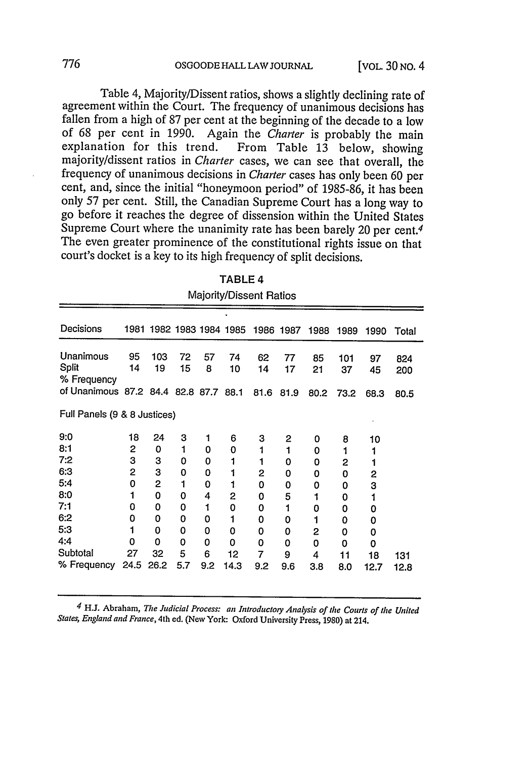Table 4, Majority/Dissent ratios, shows a slightly declining rate of agreement within the Court. The frequency of unanimous decisions has fallen from a high of 87 per cent at the beginning of the decade to a low of 68 per cent in 1990. Again the *Charter* is probably the main majority/dissent ratios in *Charter* cases, we can see that overall, the frequency of unanimous decisions in *Charter* cases has only been 60 per cent, and, since the initial "honeymoon period" of 1985-86, it has been only 57 per cent. Still, the Canadian Supreme Court has a long way to go before it reaches the degree of dissension within the United States Supreme Court where the unanimity rate has been barely 20 per cent.<sup>4</sup> The even greater prominence of the constitutional rights issue on that court's docket is a key to its high frequency of split decisions.

| Majority/Dissent Ratios               |          |                          |          |         |          |          |           |          |           |          |            |
|---------------------------------------|----------|--------------------------|----------|---------|----------|----------|-----------|----------|-----------|----------|------------|
| Decisions                             |          | 1981 1982 1983 1984 1985 |          |         |          |          | 1986 1987 | 1988     | 1989      | 1990     | Total      |
| Unanimous<br>Split<br>% Frequency     | 95<br>14 | 103<br>19                | 72<br>15 | 57<br>8 | 74<br>10 | 62<br>14 | 77<br>17  | 85<br>21 | 101<br>37 | 97<br>45 | 824<br>200 |
| of Unanimous 87.2 84.4 82.8 87.7 88.1 |          |                          |          |         |          | 81.6     | 81.9      | 80.2     | 73.2      | 68.3     | 80.5       |
| Full Panels (9 & 8 Justices)          |          |                          |          |         |          |          |           |          |           |          |            |
| 9:0                                   | 18       | 24                       | 3        | 1       | 6        | 3        | 2         | 0        | 8         | 10       |            |
| 8:1                                   | 2        | 0                        | 1        | 0       | 0        | 1        | 1         | 0        | 1         |          |            |
| 7:2                                   | 3        | 3                        | 0        | 0       | 1        | 1        | 0         | 0        | 2         |          |            |
| 6:3                                   | 2        | 3                        | 0        | 0       | 1        | 2        | 0         | 0        | 0         | 2        |            |
| 5:4                                   | 0        | 2                        | 1        | 0       | 1        | 0        | 0         | 0        | 0         | 3        |            |
| 8:0                                   | 1        | 0                        | 0        | 4       | 2        | 0        | 5         | 1        | 0         |          |            |
| 7:1                                   | 0        | 0                        | 0        | 1       | 0        | 0        | 1         | 0        | 0         | 0        |            |
| 6:2                                   | 0        | 0                        | 0        | 0       |          | 0        | 0         | 1        | 0         | 0        |            |
| 5:3                                   | 1        | 0                        | 0        | 0       | 0        | 0        | 0         | 2        | 0         | 0        |            |
| 4:4                                   | 0        | 0                        | 0        | 0       | 0        | 0        | 0         | 0        | 0         | 0        |            |
| Subtotal                              | 27       | 32                       | 5        | 6       | 12       | 7        | 9         | 4        | 11        | 18       | 131        |
| % Frequency                           | 24.5     | 26.2                     | 5.7      | 9.2     | 14.3     | 9.2      | 9.6       | 3.8      | 8.0       | 12.7     | 12.8       |

TABLE **4**

*4* H.J. Abraham, *The Judicial Process: an Introductory Analysis of the Courts of the United States, England and France,* 4th ed. (New York: Oxford University Press, 1980) at 214.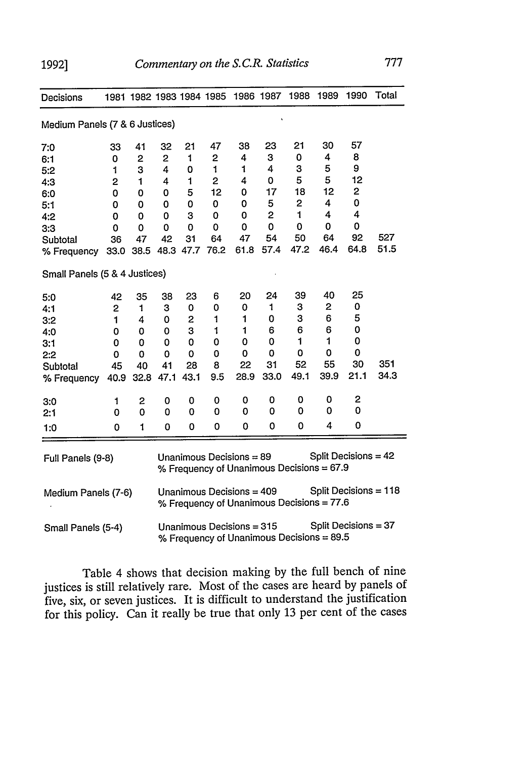**1992]**

| Decisions                      |      |                     |                                                                                                |             |                            | 1981 1982 1983 1984 1985 1986 1987 |                                           | 1988                                      | 1989                 | 1990         | Total                   |
|--------------------------------|------|---------------------|------------------------------------------------------------------------------------------------|-------------|----------------------------|------------------------------------|-------------------------------------------|-------------------------------------------|----------------------|--------------|-------------------------|
| Medium Panels (7 & 6 Justices) |      |                     |                                                                                                |             |                            |                                    |                                           |                                           |                      |              |                         |
| 7:0                            | 33   | 41                  | 32                                                                                             | 21          | 47                         | 38                                 | 23                                        | 21                                        | 30                   | 57           |                         |
| 6:1                            | 0    | 2                   | 2                                                                                              | 1           | 2                          | 4                                  | 3                                         | 0                                         | 4                    | 8            |                         |
| 5:2                            | 1    | 3                   | 4                                                                                              | 0           | 1                          | 1                                  | 4                                         | 3                                         | 5                    | 9            |                         |
| 4:3                            | 2    | 1                   | 4                                                                                              | 1           | $\mathbf{2}$               | 4                                  | 0                                         | 5                                         | 5                    | 12           |                         |
| 6:0                            | 0    | 0                   | 0                                                                                              | 5           | 12                         | 0                                  | 17                                        | 18                                        | 12                   | $\mathbf{2}$ |                         |
| 5:1                            | 0    | 0                   | 0                                                                                              | 0           | 0                          | 0                                  | 5                                         | 2                                         | 4                    | $\mathbf 0$  |                         |
| 4:2                            | 0    | 0                   | 0                                                                                              | 3           | 0                          | 0                                  | $\overline{c}$                            | 1                                         | 4                    | 4            |                         |
| 3:3                            | 0    | 0                   | 0                                                                                              | 0           | 0                          | 0                                  | 0                                         | 0                                         | 0                    | 0            |                         |
| Subtotal                       | 36   | 47                  | 42                                                                                             | 31          | 64                         | 47                                 | 54                                        | 50                                        | 64                   | 92           | 527                     |
| % Frequency                    |      | 33.0 38.5 48.3 47.7 |                                                                                                |             | 76.2                       | 61.8                               | 57.4                                      | 47.2                                      | 46.4                 | 64.8         | 51.5                    |
| Small Panels (5 & 4 Justices)  |      |                     |                                                                                                |             |                            |                                    |                                           |                                           |                      |              |                         |
| 5:0                            | 42   | 35                  | 38                                                                                             | 23          | 6                          | 20                                 | 24                                        | 39                                        | 40                   | 25           |                         |
| 4:1                            | 2    | 1                   | 3                                                                                              | 0           | 0                          | 0                                  | $\mathbf{1}$                              | 3                                         | 2                    | 0            |                         |
| 3:2                            | 1    | 4                   | 0                                                                                              | 2           | $\mathbf{1}$               | 1                                  | 0                                         | 3                                         | 6                    | 5            |                         |
| 4:0                            | 0    | 0                   | 0                                                                                              | з           | $\mathbf{1}$               | 1                                  | 6                                         | 6                                         | 6                    | 0            |                         |
| 3:1                            | 0    | 0                   | 0                                                                                              | 0           | 0                          | 0                                  | 0                                         | 1                                         | 1                    | 0            |                         |
| 2:2                            | 0    | 0                   | 0                                                                                              | 0           | 0                          | 0                                  | 0                                         | 0                                         | 0                    | 0            |                         |
| Subtotal                       | 45   | 40                  | 41                                                                                             | 28          | 8                          | 22                                 | 31                                        | 52                                        | 55                   | 30           | 351                     |
| % Frequency                    | 40.9 | 32.8                | 47.1                                                                                           | 43.1        | 9.5                        | 28.9                               | 33.0                                      | 49.1                                      | 39.9                 | 21.1         | 34.3                    |
| 3:0                            | 1    | 2                   | 0                                                                                              | 0           | 0                          | 0                                  | 0                                         | 0                                         | 0                    | $\mathbf{2}$ |                         |
| 2:1                            | 0    | 0                   | 0                                                                                              | 0           | $\mathbf 0$                | 0                                  | 0                                         | 0                                         | 0                    | 0            |                         |
| 1:0                            | 0    | 1                   | 0                                                                                              | $\mathbf 0$ | 0                          | 0                                  | 0                                         | 0                                         | 4                    | 0            |                         |
| Full Panels (9-8)              |      |                     |                                                                                                |             | Unanimous Decisions $= 89$ |                                    | % Frequency of Unanimous Decisions = 67.9 |                                           | Split Decisions = 42 |              |                         |
| Medium Panels (7-6)            |      |                     |                                                                                                |             |                            | Unanimous Decisions = 409          |                                           | % Frequency of Unanimous Decisions = 77.6 |                      |              | Split Decisions = $118$ |
| Small Panels (5-4)             |      |                     | Split Decisions = 37<br>Unanimous Decisions = 315<br>% Frequency of Unanimous Decisions = 89.5 |             |                            |                                    |                                           |                                           |                      |              |                         |

Table 4 shows that decision making by the full bench of nine justices is still relatively rare. Most of the cases are heard by panels of five, six, or seven justices. It is difficult to understand the justification for this policy. Can it really be true that only 13 per cent of the cases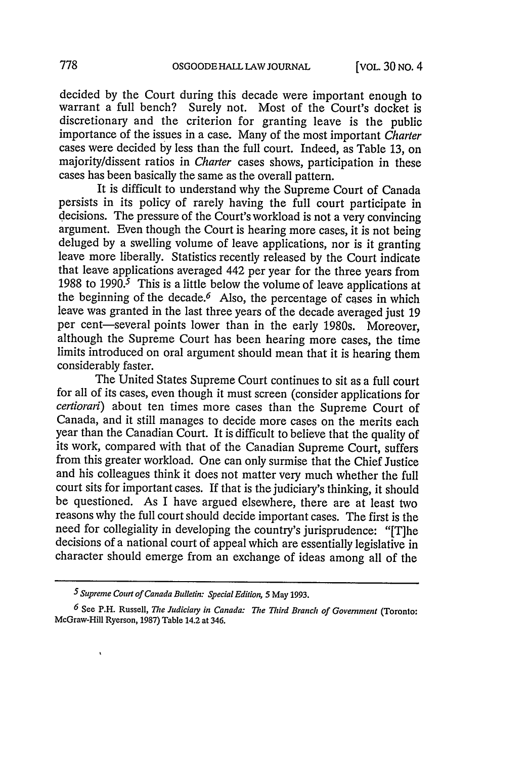decided by the Court during this decade were important enough to warrant a full bench? Surely not. Most of the Court's docket is discretionary and the criterion for granting leave is the public importance of the issues in a case. Many of the most important *Charter* cases were decided by less than the full court. Indeed, as Table 13, on majority/dissent ratios in *Charter* cases shows, participation in these cases has been basically the same as the overall pattern.

It is difficult to understand why the Supreme Court of Canada persists in its policy of rarely having the full court participate in decisions. The pressure of the Court's workload is not a very convincing argument. Even though the Court is hearing more cases, it is not being deluged by a swelling volume of leave applications, nor is it granting leave more liberally. Statistics recently released by the Court indicate that leave applications averaged 442 per year for the three years from 1988 to **1990.5** This is a little below the volume of leave applications at the beginning of the decade.<sup> $6$ </sup> Also, the percentage of cases in which leave was granted in the last three years of the decade averaged just 19 per cent-several points lower than in the early 1980s. Moreover, although the Supreme Court has been hearing more cases, the time limits introduced on oral argument should mean that it is hearing them considerably faster.

The United States Supreme Court continues to sit as a full court for all of its cases, even though it must screen (consider applications for *certiorari)* about ten times more cases than the Supreme Court of Canada, and it still manages to decide more cases on the merits each year than the Canadian Court. It is difficult to believe that the quality of its work, compared with that of the Canadian Supreme Court, suffers from this greater workload. One can only surmise that the Chief Justice and his colleagues think it does not matter very much whether the full court sits for important cases. If that is the judiciary's thinking, it should be questioned. As I have argued elsewhere, there are at least two reasons why the full court should decide important cases. The first is the need for collegiality in developing the country's jurisprudence: "[T]he decisions of a national court of appeal which are essentially legislative in character should emerge from an exchange of ideas among all of the

 $\lambda$ 

**<sup>5</sup>** *Supreme Court of Canada Bulletin: Special Edition, 5* May **1993.**

*<sup>6</sup>* See P.H. Russell, *The Judiciary in Canada: The Third Branch of Government* (Toronto: McGraw-Hill Ryerson, **1987)** Table 14.2 at 346.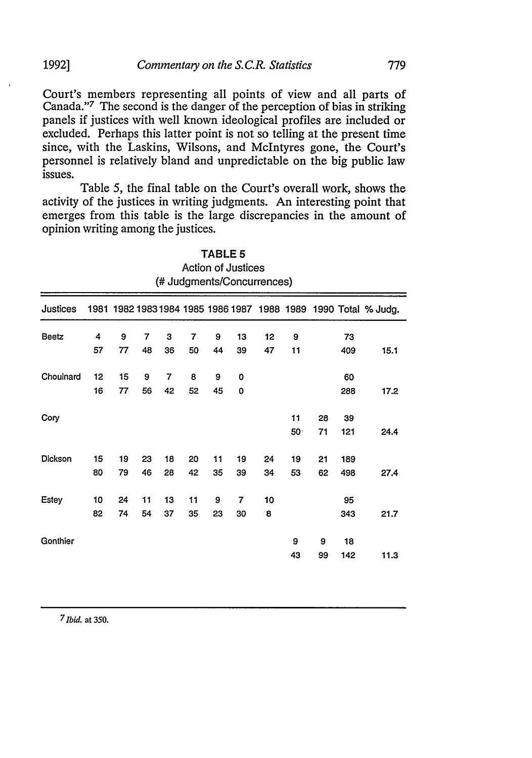Court's members representing all points of view and all parts of Canada."<sup>7</sup> The second is the danger of the perception of bias in striking panels if justices with well known ideological profiles are included or excluded. Perhaps this latter point is not so telling at the present time since, with the Laskins, Wilsons, and McIntyres gone, the Court's personnel is relatively bland and unpredictable on the big public law issues.

Table *5,* the final table on the Court's overall work, shows the activity of the justices in writing judgments. An interesting point that emerges from this table is the large discrepancies in the amount of opinion writing among the justices.

|              | <b>Action of Justices</b><br>(# Judgments/Concurrences) |          |          |          |          |          |          |          |                       |          |            |                                                                 |  |
|--------------|---------------------------------------------------------|----------|----------|----------|----------|----------|----------|----------|-----------------------|----------|------------|-----------------------------------------------------------------|--|
| Justices     |                                                         |          |          |          |          |          |          |          |                       |          |            | 1981 1982 1983 1984 1985 1986 1987 1988 1989 1990 Total % Judg. |  |
| <b>Beetz</b> | 4<br>57                                                 | 9<br>77  | 7<br>48  | 3<br>36  | 7<br>50  | 9<br>44  | 13<br>39 | 12<br>47 | 9<br>11               |          | 73<br>409  | 15.1                                                            |  |
| Choulnard    | 12<br>16                                                | 15<br>77 | 9<br>56  | 7<br>42  | 8<br>52  | 9<br>45  | 0<br>0   |          |                       |          | 60<br>288  | 17.2                                                            |  |
| Cory         |                                                         |          |          |          |          |          |          |          | 11<br>50 <sup>o</sup> | 28<br>71 | 39<br>121  | 24.4                                                            |  |
| Dickson      | 15<br>80                                                | 19<br>79 | 23<br>46 | 18<br>28 | 20<br>42 | 11<br>35 | 19<br>39 | 24<br>34 | 19<br>53              | 21<br>62 | 189<br>498 | 27.4                                                            |  |
| <b>Estey</b> | 10<br>82                                                | 24<br>74 | 11<br>54 | 13<br>37 | 11<br>35 | 9<br>23  | 7<br>30  | 10<br>8  |                       |          | 95<br>343  | 21.7                                                            |  |
| Gonthier     |                                                         |          |          |          |          |          |          |          | 9<br>43               | 9<br>99  | 18<br>142  | 11.3                                                            |  |

**TABLE 5**

*<sup>7</sup> 1bid.* at 350.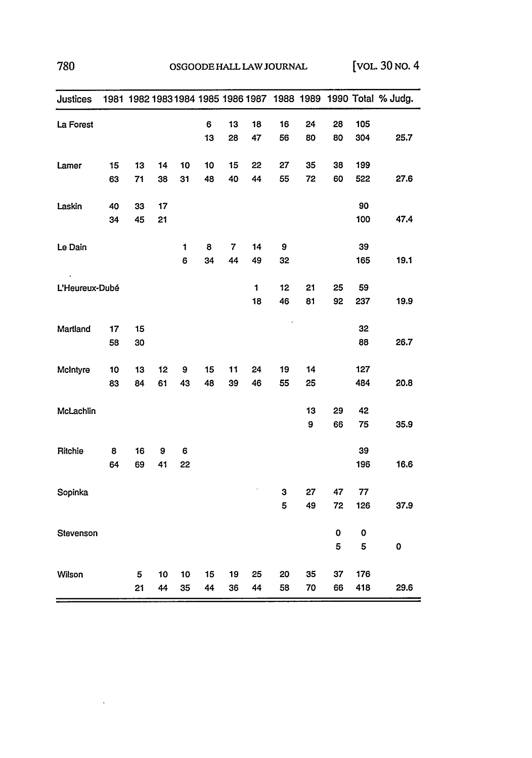| Justices       |    |    |    |    |    |    |              |    |    |    |     | 1981 1982 1983 1984 1985 1986 1987 1988 1989 1990 Total % Judg. |
|----------------|----|----|----|----|----|----|--------------|----|----|----|-----|-----------------------------------------------------------------|
| La Forest      |    |    |    |    | 6  | 13 | 18           | 16 | 24 | 28 | 105 |                                                                 |
|                |    |    |    |    | 13 | 28 | 47           | 56 | 80 | 80 | 304 | 25.7                                                            |
| Lamer          | 15 | 13 | 14 | 10 | 10 | 15 | 22           | 27 | 35 | 38 | 199 |                                                                 |
|                | 63 | 71 | 38 | 31 | 48 | 40 | 44           | 55 | 72 | 60 | 522 | 27.6                                                            |
| Laskin         | 40 | 33 | 17 |    |    |    |              |    |    |    | 90  |                                                                 |
|                | 34 | 45 | 21 |    |    |    |              |    |    |    | 100 | 47.4                                                            |
| Le Dain        |    |    |    | 1  | 8  | 7  | 14           | 9  |    |    | 39  |                                                                 |
|                |    |    |    | 6  | 34 | 44 | 49           | 32 |    |    | 165 | 19.1                                                            |
| L'Heureux-Dubé |    |    |    |    |    |    | $\mathbf{1}$ | 12 | 21 | 25 | 59  |                                                                 |
|                |    |    |    |    |    |    | 18           | 46 | 81 | 92 | 237 | 19.9                                                            |
| Martland       | 17 | 15 |    |    |    |    |              |    |    |    | 32  |                                                                 |
|                | 58 | 30 |    |    |    |    |              |    |    |    | 88  | 26.7                                                            |
| McIntyre       | 10 | 13 | 12 | 9  | 15 | 11 | 24           | 19 | 14 |    | 127 |                                                                 |
|                | 83 | 84 | 61 | 43 | 48 | 39 | 46           | 55 | 25 |    | 484 | 20.8                                                            |
| McLachlin      |    |    |    |    |    |    |              |    | 13 | 29 | 42  |                                                                 |
|                |    |    |    |    |    |    |              |    | 9  | 66 | 75  | 35.9                                                            |
| Ritchie        | 8  | 16 | 9  | 6  |    |    |              |    |    |    | 39  |                                                                 |
|                | 64 | 69 | 41 | 22 |    |    |              |    |    |    | 196 | 16.6                                                            |
| Sopinka        |    |    |    |    |    |    |              | 3  | 27 | 47 | 77  |                                                                 |
|                |    |    |    |    |    |    |              | 5  | 49 | 72 | 126 | 37.9                                                            |
| Stevenson      |    |    |    |    |    |    |              |    |    | 0  | 0   |                                                                 |
|                |    |    |    |    |    |    |              |    |    | 5  | 5   | 0                                                               |
| Wilson         |    | 5  | 10 | 10 | 15 | 19 | 25           | 20 | 35 | 37 | 176 |                                                                 |
|                |    | 21 | 44 | 35 | 44 | 36 | 44           | 58 | 70 | 66 | 418 | 29.6                                                            |

 $\sim 10^{-10}$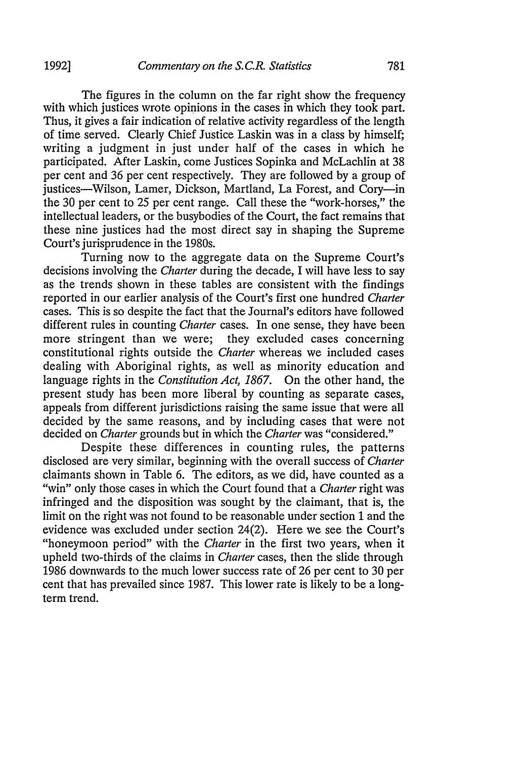The figures in the column on the far right show the frequency with which justices wrote opinions in the cases in which they took part. Thus, it gives a fair indication of relative activity regardless of the length of time served. Clearly Chief Justice Laskin was in a class by himself; writing a judgment in just under half of the cases in which he participated. After Laskin, come Justices Sopinka and McLachlin at 38 per cent and 36 per cent respectively. They are followed by a group of justices—Wilson, Lamer, Dickson, Martland, La Forest, and Cory—in the 30 per cent to 25 per cent range. Call these the "work-horses," the intellectual leaders, or the busybodies of the Court, the fact remains that these nine justices had the most direct say in shaping the Supreme Court's jurisprudence in the 1980s.

Turning now to the aggregate data on the Supreme Court's decisions involving the *Charter* during the decade, I will have less to say as the trends shown in these tables are consistent with the findings reported in our earlier analysis of the Court's first one hundred *Charter* cases. This is so despite the fact that the Journal's editors have followed different rules in counting *Charter* cases. In one sense, they have been more stringent than we were; they excluded cases concerning constitutional rights outside the *Charter* whereas we included cases dealing with Aboriginal rights, as well as minority education and language rights in the *Constitution* Act, *1867.* On the other hand, the present study has been more liberal by counting as separate cases, appeals from different jurisdictions raising the same issue that were all decided by the same reasons, and by including cases that were not decided on *Charter* grounds but in which the *Charter* was "considered."

Despite these differences in counting rules, the patterns disclosed are very similar, beginning with the overall success of *Charter* claimants shown in Table 6. The editors, as we did, have counted as a "win" only those cases in which the Court found that a *Charter* right was infringed and the disposition was sought by the claimant, that is, the limit on the right was not found to be reasonable under section 1 and the evidence was excluded under section 24(2). Here we see the Court's "honeymoon period" with the *Charter* in the first two years, when it upheld two-thirds of the claims in *Charter* cases, then the slide through 1986 downwards to the much lower success rate of 26 per cent to 30 per cent that has prevailed since 1987. This lower rate is likely to be a longterm trend.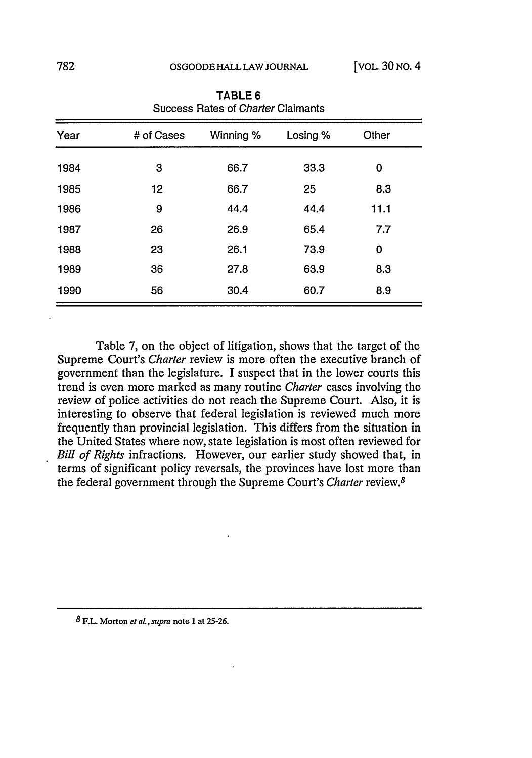| Year | # of Cases | Winning % | Losing % | Other |  |
|------|------------|-----------|----------|-------|--|
| 1984 | 3          | 66.7      | 33.3     | 0     |  |
| 1985 | 12         | 66.7      | 25       | 8.3   |  |
| 1986 | 9          | 44.4      | 44.4     | 11.1  |  |
| 1987 | 26         | 26.9      | 65.4     | 7.7   |  |
| 1988 | 23         | 26.1      | 73.9     | 0     |  |
| 1989 | 36         | 27.8      | 63.9     | 8.3   |  |
| 1990 | 56         | 30.4      | 60.7     | 8.9   |  |

TABLE 6 Success Rates of *Charter* Claimants

Table 7, on the object of litigation, shows that the target of the Supreme Court's *Charter* review is more often the executive branch of government than the legislature. I suspect that in the lower courts this trend is even more marked as many routine *Charter* cases involving the review of police activities do not reach the Supreme Court. Also, it is interesting to observe that federal legislation is reviewed much more frequently than provincial legislation. This differs from the situation in the United States where now, state legislation is most often reviewed for *Bill of Rights* infractions. However, our earlier study showed that, in terms of significant policy reversals, the provinces have lost more than the federal government through the Supreme Court's *Charter* review.8

*8* **F.L. Morton** *et aL, supra* **note 1** at **25-26.**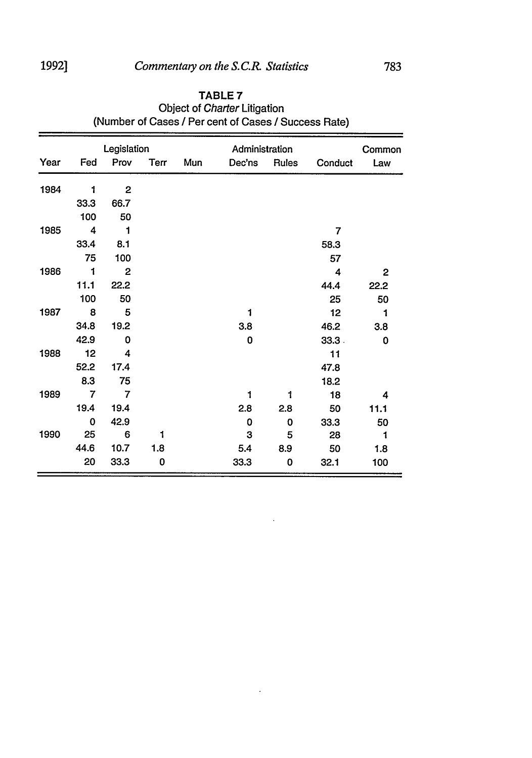|      |                | Legislation             |      |     | Administration |       |                | Common       |
|------|----------------|-------------------------|------|-----|----------------|-------|----------------|--------------|
| Year | Fed            | Prov                    | Terr | Mun | Dec'ns         | Rules | Conduct        | Law          |
| 1984 | 1              | $\overline{\mathbf{c}}$ |      |     |                |       |                |              |
|      | 33.3           | 66.7                    |      |     |                |       |                |              |
|      | 100            | 50                      |      |     |                |       |                |              |
| 1985 | 4              | 1                       |      |     |                |       | $\overline{7}$ |              |
|      | 33.4           | 8.1                     |      |     |                |       | 58.3           |              |
|      | 75             | 100                     |      |     |                |       | 57             |              |
| 1986 | $\mathbf{1}$   | $\boldsymbol{2}$        |      |     |                |       | 4              | $\mathbf{2}$ |
|      | 11.1           | 22.2                    |      |     |                |       | 44.4           | 22.2         |
|      | 100            | 50                      |      |     |                |       | 25             | 50           |
| 1987 | $_{\rm 8}$     | 5                       |      |     | 1              |       | 12             | 1            |
|      | 34.8           | 19.2                    |      |     | 3.8            |       | 46.2           | 3.8          |
|      | 42.9           | 0                       |      |     | 0              |       | 33.3.          | 0            |
| 1988 | 12             | 4                       |      |     |                |       | 11             |              |
|      | 52.2           | 17.4                    |      |     |                |       | 47.8           |              |
|      | 8.3            | 75                      |      |     |                |       | 18.2           |              |
| 1989 | $\overline{7}$ | $\overline{7}$          |      |     | 1              | 1     | 18             | 4            |
|      | 19.4           | 19.4                    |      |     | 2.8            | 2.8   | 50             | 11.1         |
|      | 0              | 42.9                    |      |     | 0              | 0     | 33.3           | 50           |
| 1990 | 25             | 6                       | 1    |     | 3              | 5     | 28             | 1            |
|      | 44.6           | 10.7                    | 1.8  |     | 5.4            | 8.9   | 50             | 1.8          |
|      | 20             | 33.3                    | 0    |     | 33.3           | 0     | 32.1           | 100          |

 $\overline{a}$ 

### **TABLE 7** Object of Charter Litigation (Number of Cases */* Per cent of Cases */* Success Rate)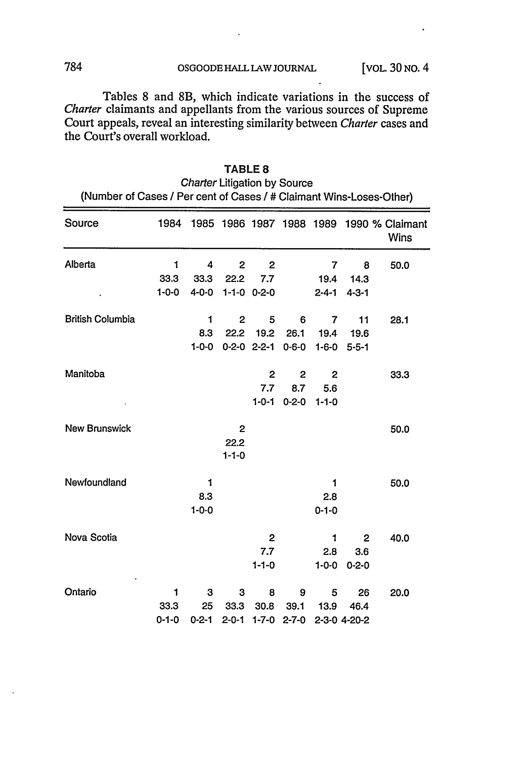Tables 8 and 8B, which indicate variations in the success of *Charter* claimants and appellants from the various sources of Supreme Court appeals, reveal an interesting similarity between *Charter* cases and the Court's overall workload.

|                         | (Walliber Of Cases / Fer Cent Of Cases / # Claimant Wins-LOSES-Other) |             |                   |                       |                   |              |              |                                                              |  |  |  |  |
|-------------------------|-----------------------------------------------------------------------|-------------|-------------------|-----------------------|-------------------|--------------|--------------|--------------------------------------------------------------|--|--|--|--|
| Source                  |                                                                       |             |                   |                       |                   |              |              | 1984 1985 1986 1987 1988 1989 1990 % Claimant<br><b>Wins</b> |  |  |  |  |
| Alberta                 | 1                                                                     | 4           | $\mathbf{2}$      | $\mathbf{2}$          |                   | 7            | 8            | 50.0                                                         |  |  |  |  |
|                         | 33.3                                                                  | 33.3        | 22.2              | 7.7                   |                   | 19.4         | 14.3         |                                                              |  |  |  |  |
|                         | $1 - 0 - 0$                                                           | 4-0-0       | $1 - 1 - 0$ 0-2-0 |                       |                   | $2 - 4 - 1$  | $4 - 3 - 1$  |                                                              |  |  |  |  |
| <b>British Columbia</b> |                                                                       | 1           | $\mathbf{2}$      | 5                     | 6                 | 7            | 11           | 28.1                                                         |  |  |  |  |
|                         |                                                                       | 8.3         |                   | 22.2 19.2             | 26.1              | 19.4         | - 19.6       |                                                              |  |  |  |  |
|                         |                                                                       | $1 - 0 - 0$ |                   | $0-2-0$ 2-2-1 $0-6-0$ |                   | $1 - 6 - 0$  | $5 - 5 - 1$  |                                                              |  |  |  |  |
| Manitoba                |                                                                       |             |                   | 2                     | $\mathbf{2}$      | $\mathbf{2}$ |              | 33.3                                                         |  |  |  |  |
|                         |                                                                       |             |                   | 7.7                   | 8.7               | 5.6          |              |                                                              |  |  |  |  |
|                         |                                                                       |             |                   |                       | $1 - 0 - 1$ 0-2-0 | $1 - 1 - 0$  |              |                                                              |  |  |  |  |
| <b>New Brunswick</b>    |                                                                       |             | $\mathbf{2}$      |                       |                   |              |              | 50.0                                                         |  |  |  |  |
|                         |                                                                       |             | 22.2              |                       |                   |              |              |                                                              |  |  |  |  |
|                         |                                                                       |             | $1 - 1 - 0$       |                       |                   |              |              |                                                              |  |  |  |  |
| Newfoundland            |                                                                       | 1           |                   |                       |                   | $\mathbf{1}$ |              | 50.0                                                         |  |  |  |  |
|                         |                                                                       | 8.3         |                   |                       |                   | 2.8          |              |                                                              |  |  |  |  |
|                         |                                                                       | $1 - 0 - 0$ |                   |                       |                   | $0 - 1 - 0$  |              |                                                              |  |  |  |  |
| Nova Scotia             |                                                                       |             |                   | 2                     |                   | 1            | 2            | 40.0                                                         |  |  |  |  |
|                         |                                                                       |             |                   | 7.7                   |                   | 2.8          | 3.6          |                                                              |  |  |  |  |
|                         |                                                                       |             |                   | $1 - 1 - 0$           |                   | $1 - 0 - 0$  | $0 - 2 - 0$  |                                                              |  |  |  |  |
| Ontario                 | 1                                                                     | 3           | 3                 | 8                     | 9                 | 5            | 26           | 20.0                                                         |  |  |  |  |
|                         | 33.3                                                                  | 25          | 33.3              | 30.8                  | 39.1              | 13.9         | 46.4         |                                                              |  |  |  |  |
|                         | $0 - 1 - 0$                                                           | $0 - 2 - 1$ | $2 - 0 - 1$       | $1 - 7 - 0$           | $2 - 7 - 0$       |              | 2-3-0 4-20-2 |                                                              |  |  |  |  |

| <b>TABLE 8</b>                                                      |
|---------------------------------------------------------------------|
| <i>Charter Litigation by Source</i>                                 |
| (Number of Cases / Per cent of Cases / # Claimant Wins-Loses-Other) |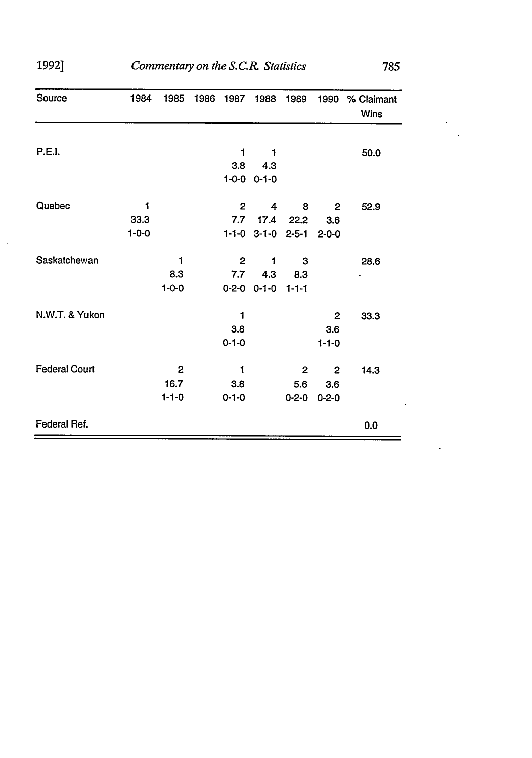| 1992]                | Commentary on the S.C.R. Statistics<br>785 |                                     |      |                         |                             |                          |                                    |                           |  |  |  |
|----------------------|--------------------------------------------|-------------------------------------|------|-------------------------|-----------------------------|--------------------------|------------------------------------|---------------------------|--|--|--|
| Source               | 1984                                       | 1985                                | 1986 | 1987                    | 1988                        | 1989                     | 1990                               | % Claimant<br><b>Wins</b> |  |  |  |
| <b>P.E.I.</b>        |                                            |                                     |      | 1<br>3.8                | 1<br>4.3<br>$1-0-0$ 0-1-0   |                          |                                    | 50.0                      |  |  |  |
| Quebec               | 1<br>33.3<br>$1 - 0 - 0$                   |                                     |      | $\mathbf{2}$<br>7.7     | 4<br>17.4<br>$1-1-0$ 3-1-0  | 8<br>22.2<br>$2 - 5 - 1$ | 2<br>3.6<br>$2 - 0 - 0$            | 52.9                      |  |  |  |
| Saskatchewan         |                                            | 1<br>8.3<br>$1 - 0 - 0$             |      | $\mathbf{2}$<br>7.7     | 1<br>4.3<br>$0-2-0$ $0-1-0$ | 3<br>8.3<br>$1 - 1 - 1$  |                                    | 28.6                      |  |  |  |
| N.W.T. & Yukon       |                                            |                                     |      | 1<br>3.8<br>$0 - 1 - 0$ |                             |                          | 2<br>3.6<br>$1 - 1 - 0$            | 33.3                      |  |  |  |
| <b>Federal Court</b> |                                            | $\mathbf{2}$<br>16.7<br>$1 - 1 - 0$ |      | 1<br>3.8<br>$0 - 1 - 0$ |                             | 2<br>5.6<br>$0 - 2 - 0$  | $\mathbf{2}$<br>3.6<br>$0 - 2 - 0$ | 14.3                      |  |  |  |
| Federal Ref.         |                                            |                                     |      |                         |                             |                          |                                    | 0.0                       |  |  |  |

 $\bar{\beta}$ 

 $\overline{\phantom{a}}$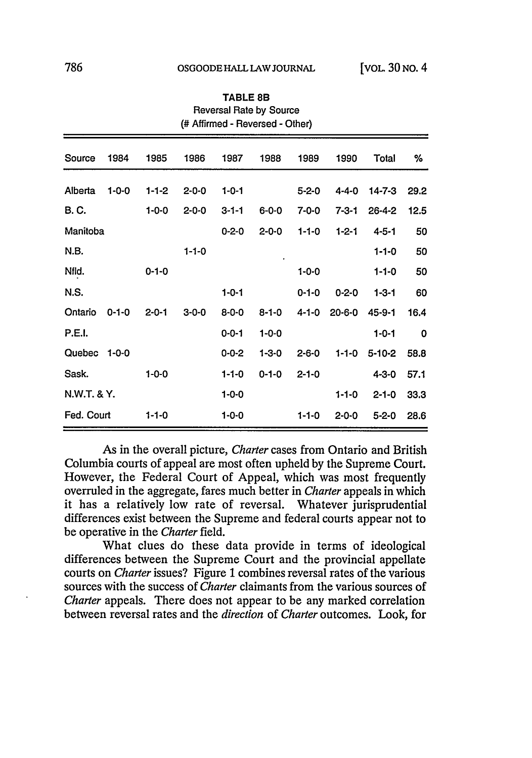|               | (# Affirmed - Reversed - Other) |             |             |             |             |             |              |              |             |  |  |
|---------------|---------------------------------|-------------|-------------|-------------|-------------|-------------|--------------|--------------|-------------|--|--|
| Source        | 1984                            | 1985        | 1986        | 1987        | 1988        | 1989        | 1990         | Total        | %           |  |  |
| Alberta       | $1 - 0 - 0$                     | $1 - 1 - 2$ | $2 - 0 - 0$ | $1 - 0 - 1$ |             | $5 - 2 - 0$ | $4 - 4 - 0$  | $14 - 7 - 3$ | 29.2        |  |  |
| B. C.         |                                 | $1 - 0 - 0$ | $2 - 0 - 0$ | $3 - 1 - 1$ | $6 - 0 - 0$ | 7-0-0       | $7 - 3 - 1$  | $26 - 4 - 2$ | 12.5        |  |  |
| Manitoba      |                                 |             |             | $0 - 2 - 0$ | $2 - 0 - 0$ | $1 - 1 - 0$ | $1 - 2 - 1$  | $4 - 5 - 1$  | 50          |  |  |
| N.B.          |                                 |             | $1 - 1 - 0$ |             |             |             |              | $1 - 1 - 0$  | 50          |  |  |
| Nfld.         |                                 | $0 - 1 - 0$ |             |             |             | $1 - 0 - 0$ |              | $1 - 1 - 0$  | 50          |  |  |
| N.S.          |                                 |             |             | $1 - 0 - 1$ |             | $0 - 1 - 0$ | $0 - 2 - 0$  | $1 - 3 - 1$  | 60          |  |  |
| Ontario       | $0 - 1 - 0$                     | $2 - 0 - 1$ | $3 - 0 - 0$ | $8 - 0 - 0$ | $8 - 1 - 0$ | $4 - 1 - 0$ | $20 - 6 - 0$ | 45-9-1       | 16.4        |  |  |
| <b>P.E.I.</b> |                                 |             |             | $0 - 0 - 1$ | $1 - 0 - 0$ |             |              | $1 - 0 - 1$  | $\mathbf 0$ |  |  |
| Quebec        | $1 - 0 - 0$                     |             |             | $0 - 0 - 2$ | $1 - 3 - 0$ | $2 - 6 - 0$ | $1 - 1 - 0$  | $5 - 10 - 2$ | 58.8        |  |  |
| Sask.         |                                 | $1 - 0 - 0$ |             | $1 - 1 - 0$ | $0 - 1 - 0$ | $2 - 1 - 0$ |              | $4 - 3 - 0$  | 57.1        |  |  |
| N.W.T. & Y.   |                                 |             |             | $1 - 0 - 0$ |             |             | $1 - 1 - 0$  | $2 - 1 - 0$  | 33.3        |  |  |
| Fed. Court    |                                 | $1 - 1 - 0$ |             | $1 - 0 - 0$ |             | $1 - 1 - 0$ | $2 - 0 - 0$  | $5 - 2 - 0$  | 28.6        |  |  |

TABLE **8B** Reversal Rate by Source

As in the overall picture, *Charter* cases from Ontario and British Columbia courts of appeal are most often upheld by the Supreme Court. However, the Federal Court of Appeal, which was most frequently overruled in the aggregate, fares much better in *Charter* appeals in which it has a relatively low rate of reversal. Whatever jurisprudential differences exist between the Supreme and federal courts appear not to be operative in the *Charter* field.

What clues do these data provide in terms of ideological differences between the Supreme Court and the provincial appellate courts on *Charter* issues? Figure **1** combines reversal rates of the various sources with the success of *Charter* claimants from the various sources of *Charter* appeals. There does not appear to be any marked correlation between reversal rates and the *direction* of *Charter* outcomes. Look, for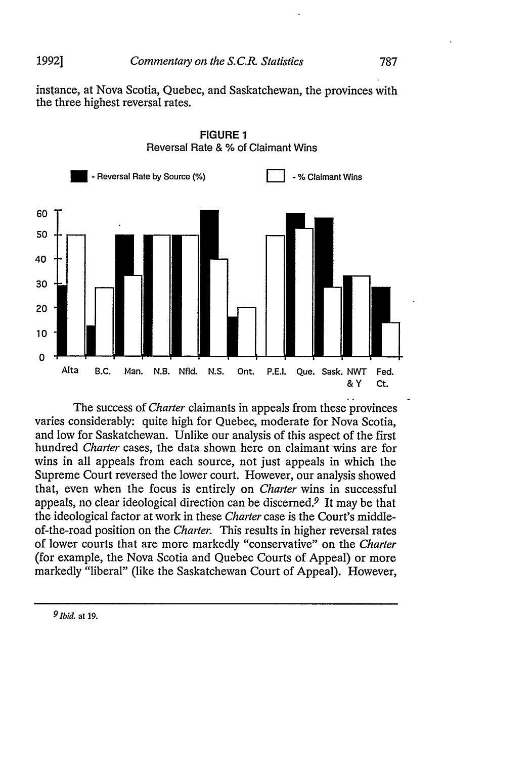**1992]**

instance, at Nova Scotia, Quebec, and Saskatchewan, the provinces with the three highest reversal rates.





The success of *Charter* claimants in appeals from these provinces varies considerably: quite high for Quebec, moderate for Nova Scotia, and low for Saskatchewan. Unlike our analysis of this aspect of the first hundred *Charter* cases, the data shown here on claimant wins are for wins in all appeals from each source, not just appeals in which the Supreme Court reversed the lower court. However, our analysis showed that, even when the focus is entirely on *Charter* wins in successful appeals, no clear ideological direction can be discerned.<sup> $9$ </sup> It may be that the ideological factor at work in these *Charter* case is the Court's middleof-the-road position on the *Charter.* This results in higher reversal rates of lower courts that are more markedly "conservative" on the *Charter* (for example, the Nova Scotia and Quebec Courts of Appeal) or more markedly "liberal" (like the Saskatchewan Court of Appeal). However,

*<sup>9</sup> Ibid.* at **19.**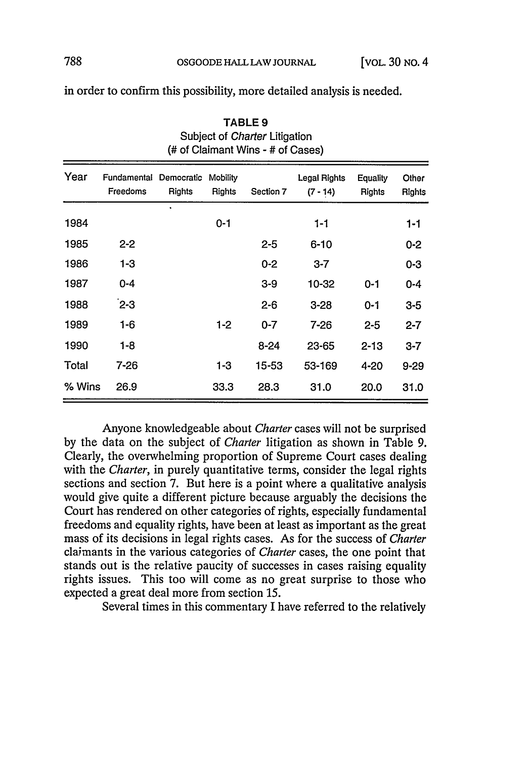TABLE **9** Subject of Charter Litigation

|          |                         |                      |                           | (# of Claimant Wins - # of Cases) |                            |                                  |                 |
|----------|-------------------------|----------------------|---------------------------|-----------------------------------|----------------------------|----------------------------------|-----------------|
| Year     | Fundamental<br>Freedoms | Democratic<br>Rights | <b>Mobility</b><br>Rights | Section 7                         | Legal Rights<br>$(7 - 14)$ | <b>Equality</b><br><b>Rights</b> | Other<br>Rights |
| 1984     |                         | ٠                    | $0 - 1$                   |                                   | 1-1                        |                                  | $1 - 1$         |
| 1985     | $2 - 2$                 |                      |                           | $2 - 5$                           | $6 - 10$                   |                                  | $0 - 2$         |
| 1986     | $1 - 3$                 |                      |                           | $0 - 2$                           | $3 - 7$                    |                                  | $0 - 3$         |
| 1987     | 0-4                     |                      |                           | $3-9$                             | 10-32                      | $0 - 1$                          | $0 - 4$         |
| 1988     | $2-3$                   |                      |                           | $2 - 6$                           | $3 - 28$                   | 0-1                              | $3 - 5$         |
| 1989     | $1 - 6$                 |                      | $1 - 2$                   | $0 - 7$                           | 7-26                       | $2 - 5$                          | $2 - 7$         |
| 1990     | $1 - 8$                 |                      |                           | $8 - 24$                          | $23 - 65$                  | $2 - 13$                         | $3 - 7$         |
| Total    | $7 - 26$                |                      | 1-3                       | 15-53                             | 53-169                     | 4-20                             | $9 - 29$        |
| $%$ Wins | 26.9                    |                      | 33.3                      | 28.3                              | 31.0                       | 20.0                             | 31.0            |

in order to confirm this possibility, more detailed analysis is needed.

Anyone knowledgeable about *Charter* cases will not be surprised by the data on the subject of *Charter* litigation as shown in Table 9. Clearly, the overwhelming proportion of Supreme Court cases dealing with the *Charter,* in purely quantitative terms, consider the legal rights sections and section 7. But here is a point where a qualitative analysis would give quite a different picture because arguably the decisions the Court has rendered on other categories of rights, especially fundamental freedoms and equality rights, have been at least as important as the great mass of its decisions in legal rights cases. As for the success of *Charter* claimants in the various categories of *Charter* cases, the one point that stands out is the relative paucity of successes in cases raising equality rights issues. This too will come as no great surprise to those who expected a great deal more from section 15.

Several times in this commentary I have referred to the relatively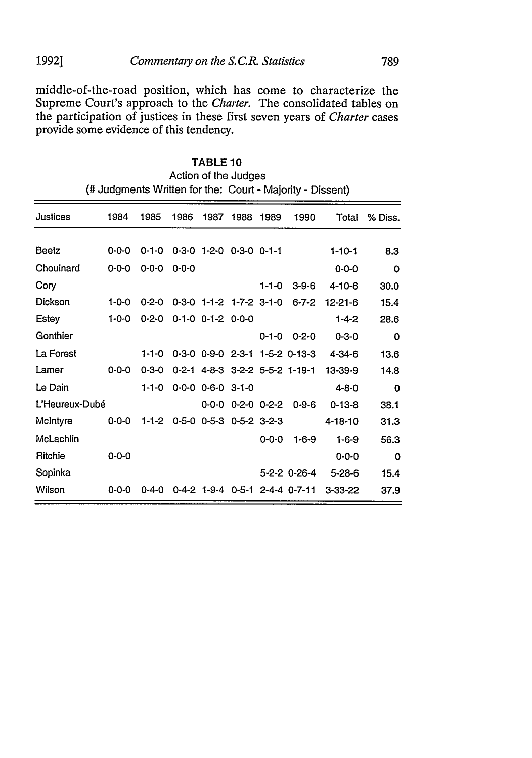middle-of-the-road position, which has come to characterize the Supreme Court's approach to the *Charter.* The consolidated tables on the participation of justices in these first seven years of *Charter* cases provide some evidence of this tendency.

|                | Action of the Judges                                      |             |             |                                     |                         |             |                                |               |         |  |
|----------------|-----------------------------------------------------------|-------------|-------------|-------------------------------------|-------------------------|-------------|--------------------------------|---------------|---------|--|
|                | (# Judgments Written for the: Court - Majority - Dissent) |             |             |                                     |                         |             |                                |               |         |  |
| Justices       | 1984                                                      | 1985        | 1986        | 1987                                | 1988                    | 1989        | 1990                           | Total         | % Diss. |  |
| Beetz          | $0 - 0 - 0$                                               | $0 - 1 - 0$ |             | $0-3-0$ 1-2-0 $0-3-0$ 0-1-1         |                         |             |                                | $1 - 10 - 1$  | 8.3     |  |
| Chouinard      | $0 - 0 - 0$                                               | $0 - 0 - 0$ | $0 - 0 - 0$ |                                     |                         |             |                                | $0 - 0 - 0$   | 0       |  |
| Cory           |                                                           |             |             |                                     |                         | $1 - 1 - 0$ | $3 - 9 - 6$                    | $4 - 10 - 6$  | 30.0    |  |
| Dickson        | $1 - 0 - 0$                                               | $0 - 2 - 0$ |             | $0-3-0$ 1-1-2 1-7-2 3-1-0           |                         |             | $6 - 7 - 2$                    | $12 - 21 - 6$ | 15.4    |  |
| Estey          | $1 - 0 - 0$                                               | $0 - 2 - 0$ |             | $0-1-0$ $0-1-2$ $0-0-0$             |                         |             |                                | $1 - 4 - 2$   | 28.6    |  |
| Gonthier       |                                                           |             |             |                                     |                         | $0 - 1 - 0$ | $0 - 2 - 0$                    | $0 - 3 - 0$   | 0       |  |
| La Forest      |                                                           | $1 - 1 - 0$ |             |                                     |                         |             | 0-3-0 0-9-0 2-3-1 1-5-2 0-13-3 | $4 - 34 - 6$  | 13.6    |  |
| Lamer          | $0 - 0 - 0$                                               | $0 - 3 - 0$ |             |                                     |                         |             | 0-2-1 4-8-3 3-2-2 5-5-2 1-19-1 | 13-39-9       | 14.8    |  |
| Le Dain        |                                                           | $1 - 1 - 0$ |             | $0 - 0 - 0$ $0 - 6 - 0$ $3 - 1 - 0$ |                         |             |                                | $4 - 8 - 0$   | 0       |  |
| L'Heureux-Dubé |                                                           |             |             |                                     | $0-0-0$ $0-2-0$ $0-2-2$ |             | $0 - 9 - 6$                    | $0-13-8$      | 38.1    |  |
| McIntyre       | $0 - 0 - 0$                                               | 1-1-2       |             | $0-5-0$ $0-5-3$ $0-5-2$ $3-2-3$     |                         |             |                                | $4 - 18 - 10$ | 31.3    |  |
| McLachlin      |                                                           |             |             |                                     |                         | $0 - 0 - 0$ | $1 - 6 - 9$                    | $1 - 6 - 9$   | 56.3    |  |
| Ritchie        | $0 - 0 - 0$                                               |             |             |                                     |                         |             |                                | $0 - 0 - 0$   | 0       |  |
| Sopinka        |                                                           |             |             |                                     |                         |             | 5-2-2 0-26-4                   | $5 - 28 - 6$  | 15.4    |  |
| Wilson         | 0-0-0                                                     | 0-4-0       | $0 - 4 - 2$ |                                     |                         |             | 1-9-4 0-5-1 2-4-4 0-7-11       | $3 - 33 - 22$ | 37.9    |  |

TABLE **10**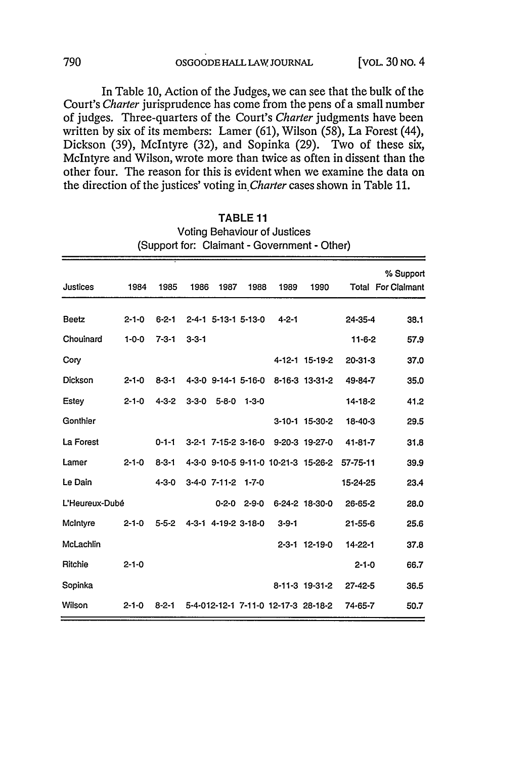In Table **10,** Action of the Judges, we can see that the bulk of the Court's *Charter* jurisprudence has come from the pens of a small number of judges. Three-quarters of the Court's *Charter* judgments have been written **by** six of its members: Lamer **(61),** Wilson **(58),** La Forest (44), Dickson **(39),** McIntyre **(32),** and Sopinka **(29).** Two of these six, McIntyre and Wilson, wrote more than twice as often in dissent than the other four. The reason for this is evident when we examine the data on the direction of the justices' voting *in.Charter* cases shown in Table **11.**

| <b>Justices</b> | 1984        | 1985        | 1986        | 1987                | 1988                | 1989                                | 1990           |               | % Support<br><b>Total For Claimant</b> |
|-----------------|-------------|-------------|-------------|---------------------|---------------------|-------------------------------------|----------------|---------------|----------------------------------------|
| Beetz           | $2 - 1 - 0$ | $6 - 2 - 1$ |             |                     | 2-4-1 5-13-1 5-13-0 | $4 - 2 - 1$                         |                | 24-35-4       | 38.1                                   |
| Chouinard       | $1 - 0 - 0$ | $7 - 3 - 1$ | $3 - 3 - 1$ |                     |                     |                                     |                | $11 - 6 - 2$  | 57.9                                   |
| Cory            |             |             |             |                     |                     |                                     | 4-12-1 15-19-2 | $20 - 31 - 3$ | 37.0                                   |
| <b>Dickson</b>  | $2 - 1 - 0$ | $8 - 3 - 1$ |             |                     | 4-3-0 9-14-1 5-16-0 |                                     | 8-16-3 13-31-2 | 49-84-7       | 35.0                                   |
| Estey           | $2 - 1 - 0$ | $4 - 3 - 2$ | $3 - 3 - 0$ | $5 - 8 - 0$         | $1 - 3 - 0$         |                                     |                | $14 - 18 - 2$ | 41.2                                   |
| Gonthier        |             |             |             |                     |                     |                                     | 3-10-1 15-30-2 | 18-40-3       | 29.5                                   |
| La Forest       |             | $0 - 1 - 1$ |             |                     | 3-2-1 7-15-2 3-16-0 |                                     | 9-20-3 19-27-0 | 41-81-7       | 31.8                                   |
| Lamer           | $2 - 1 - 0$ | $8 - 3 - 1$ |             |                     |                     | 4-3-0 9-10-5 9-11-0 10-21-3 15-26-2 |                | 57-75-11      | 39.9                                   |
| Le Dain         |             | $4 - 3 - 0$ |             | $3-4-0$ $7-11-2$    | $1 - 7 - 0$         |                                     |                | 15-24-25      | 23.4                                   |
| L'Heureux-Dubé  |             |             |             | $0 - 2 - 0$         | $2 - 9 - 0$         |                                     | 6-24-2 18-30-0 | 26-65-2       | 28.0                                   |
| McIntyre        | $2 - 1 - 0$ | $5 - 5 - 2$ |             | 4-3-1 4-19-2 3-18-0 |                     | $3 - 9 - 1$                         |                | $21 - 55 - 6$ | 25.6                                   |
| McLachlin       |             |             |             |                     |                     |                                     | 2-3-1 12-19-0  | 14-22-1       | 37.8                                   |
| <b>Ritchie</b>  | $2 - 1 - 0$ |             |             |                     |                     |                                     |                | $2 - 1 - 0$   | 66.7                                   |
| Sopinka         |             |             |             |                     |                     |                                     | 8-11-3 19-31-2 | $27 - 42 - 5$ | 36.5                                   |
| Wilson          | $2 - 1 - 0$ | $8 - 2 - 1$ |             |                     |                     | 5-4-012-12-1 7-11-0 12-17-3 28-18-2 |                | 74-65-7       | 50.7                                   |

| TABLE <sub>11</sub>                          |
|----------------------------------------------|
| Voting Behaviour of Justices                 |
| (Support for: Claimant - Government - Other) |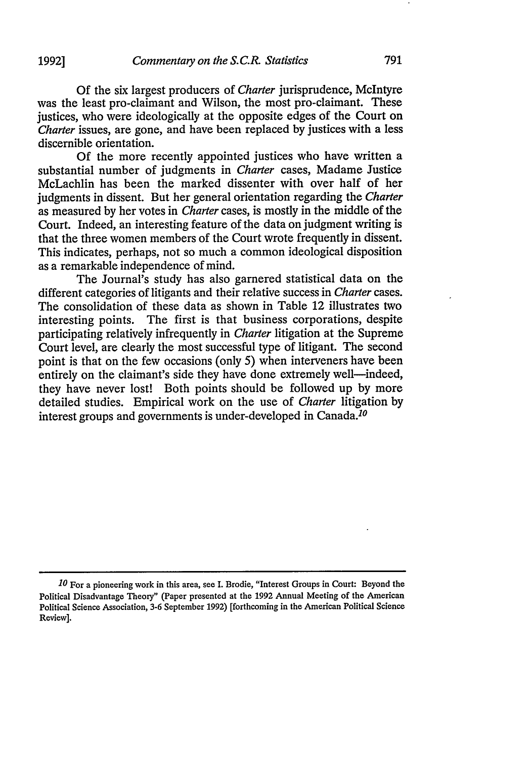Of the six largest producers of *Charter* jurisprudence, McIntyre was the least pro-claimant and Wilson, the most pro-claimant. These justices, who were ideologically at the opposite edges of the Court on *Charter* issues, are gone, and have been replaced by justices with a less discernible orientation.

Of the more recently appointed justices who have written a substantial number of judgments in *Charter* cases, Madame Justice McLachlin has been the marked dissenter with over half of her judgments in dissent. But her general orientation regarding the *Charter* as measured by her votes in *Charter* cases, is mostly in the middle of the Court. Indeed, an interesting feature of the data on judgment writing is that the three women members of the Court wrote frequently in dissent. This indicates, perhaps, not so much a common ideological disposition as a remarkable independence of mind.

The Journal's study has also garnered statistical data on the different categories of litigants and their relative success in *Charter* cases. The consolidation of these data as shown in Table 12 illustrates two interesting points. The first is that business corporations, despite participating relatively infrequently in *Charter* litigation at the Supreme Court level, are clearly the most successful type of litigant. The second point is that on the few occasions (only 5) when interveners have been entirely on the claimant's side they have done extremely well—indeed, they have never lost! Both points should be followed up by more detailed studies. Empirical work on the use of *Charter* litigation by interest groups and governments is under-developed in Canada.<sup>10</sup>

**<sup>10</sup>** For a pioneering work in this area, see I. Brodie, "Interest Groups in Court: Beyond the Political Disadvantage Theory" (Paper presented at the 1992 Annual Meeting of the American Political Science Association, 3-6 September 1992) [forthcoming in the American Political Science Review].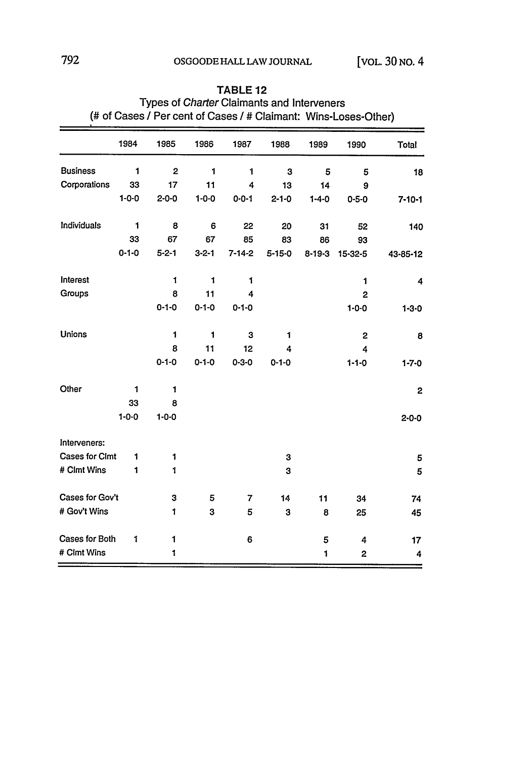|                       | 1984         | 1985           | 1986        | 1987           | 1988         | 1989         | 1990           | Total                   |
|-----------------------|--------------|----------------|-------------|----------------|--------------|--------------|----------------|-------------------------|
| <b>Business</b>       | $\mathbf{1}$ | $\overline{2}$ | 1           | 1              | 3            | 5            | 5              | 18                      |
| Corporations          | 33           | 17             | 11          | 4              | 13           | 14           | 9              |                         |
|                       | $1 - 0 - 0$  | $2 - 0 - 0$    | $1 - 0 - 0$ | $0 - 0 - 1$    | $2 - 1 - 0$  | $1 - 4 - 0$  | $0 - 5 - 0$    | $7 - 10 - 1$            |
| Individuals           | 1            | 8              | 6           | 22             | 20           | 31           | 52             | 140                     |
|                       | 33           | 67             | 67          | 85             | 83           | 86           | 93             |                         |
|                       | $0 - 1 - 0$  | $5 - 2 - 1$    | $3 - 2 - 1$ | $7 - 14 - 2$   | $5 - 15 - 0$ | $8 - 19 - 3$ | 15-32-5        | 43-85-12                |
| Interest              |              | $\mathbf{1}$   | 1           | 1              |              |              | 1              | 4                       |
| Groups                |              | 8              | 11          | 4              |              |              | $\overline{2}$ |                         |
|                       |              | $0 - 1 - 0$    | $0 - 1 - 0$ | $0 - 1 - 0$    |              |              | $1 - 0 - 0$    | $1 - 3 - 0$             |
| <b>Unions</b>         |              | 1              | 1           | 3              | 1            |              | $\overline{2}$ | 8                       |
|                       |              | 8              | 11          | 12             | 4            |              | 4              |                         |
|                       |              | $0 - 1 - 0$    | $0 - 1 - 0$ | $0 - 3 - 0$    | $0 - 1 - 0$  |              | $1 - 1 - 0$    | $1 - 7 - 0$             |
| Other                 | 1            | $\mathbf{1}$   |             |                |              |              |                | $\overline{\mathbf{c}}$ |
|                       | 33           | 8              |             |                |              |              |                |                         |
|                       | $1 - 0 - 0$  | $1 - 0 - 0$    |             |                |              |              |                | $2 - 0 - 0$             |
| Interveners:          |              |                |             |                |              |              |                |                         |
| <b>Cases for Clmt</b> | 1            | $\mathbf{1}$   |             |                | 3            |              |                | 5                       |
| # Clmt Wins           | 1            | 1              |             |                | 3            |              |                | 5                       |
| Cases for Gov't       |              | 3              | 5           | $\overline{7}$ | 14           | 11           | 34             | 74                      |
| # Gov't Wins          |              | 1              | 3           | 5              | 3            | 8            | 25             | 45                      |
| Cases for Both        | 1            | 1              |             | 6              |              | 5            | 4              | 17                      |
| # Clmt Wins           |              | $\mathbf{1}$   |             |                |              | $\mathbf{1}$ | 2              | 4                       |

#### TABLE 12 Types of Charter Claimants and Interveners (# of Cases */* Per cent of Cases */* # Claimant: Wins-Loses-Other)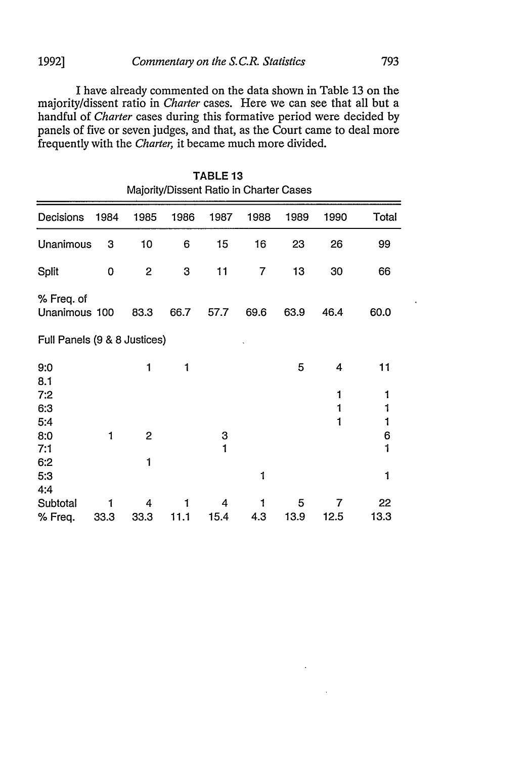#### *Commentaiy on the S.C.R. Statistics* **1992]**

I have already commented on the data shown in Table **13** on the majority/dissent ratio in *Charter* cases. Here we can see that all but a handful of *Charter* cases during this formative period were decided by panels of five or seven judges, and that, as the Court came to deal more frequently with the *Charter,* it became much more divided.

793

|                              |      |                |      | TABLE <sub>13</sub> | Majority/Dissent Ratio in Charter Cases |      |             |             |
|------------------------------|------|----------------|------|---------------------|-----------------------------------------|------|-------------|-------------|
| Decisions                    | 1984 | 1985           | 1986 | 1987                | 1988                                    | 1989 | 1990        | Total       |
| Unanimous                    | 3    | 10             | 6    | 15                  | 16                                      | 23   | 26          | 99          |
| Split                        | 0    | $\overline{c}$ | 3    | 11                  | 7                                       | 13   | 30          | 66          |
| % Freq. of<br>Unanimous 100  |      | 83.3           | 66.7 | 57.7                | 69.6                                    | 63.9 | 46.4        | 60.0        |
| Full Panels (9 & 8 Justices) |      |                |      |                     |                                         |      |             |             |
| 9:0                          |      | 1              | 1    |                     |                                         | 5    | 4           | 11          |
| 8.1<br>7:2<br>6:3<br>5:4     |      |                |      |                     |                                         |      | 1<br>1<br>1 | 1<br>1<br>1 |
| 8:0                          | 1    | $\overline{c}$ |      | 3                   |                                         |      |             | 6           |
| 7:1                          |      |                |      | 1                   |                                         |      |             | 1           |
| 6:2<br>5:3<br>4:4            |      | 1              |      |                     | 1                                       |      |             | 1           |
| Subtotal                     | 1    | 4              |      | 4                   | 1                                       | 5    | 7           | 22          |
| % Freq.                      | 33.3 | 33.3           | 11.1 | 15.4                | 4.3                                     | 13.9 | 12.5        | 13.3        |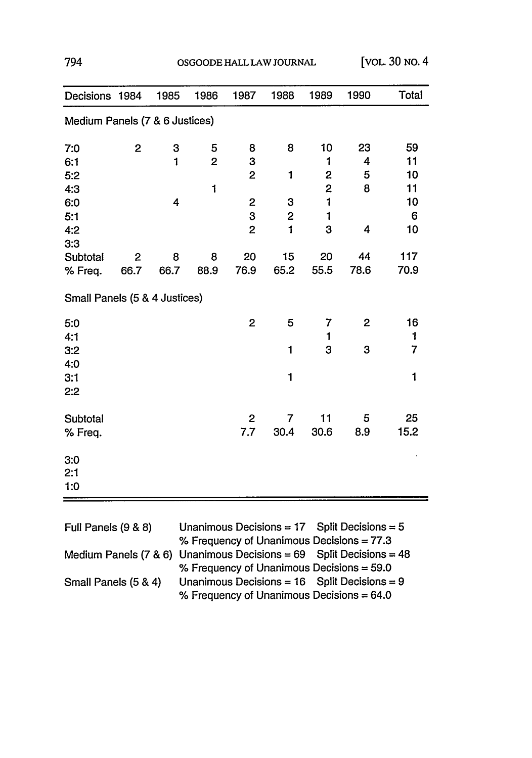| OSGOODE HALL LAW JOURNAL |  |
|--------------------------|--|
|--------------------------|--|

|                                                                                                                                                                                                                                                                                                                                                                                                                                                                                                                                                                                                                                                                                                                                                                                                                                                                                                                                                 |  | 1985 | 1986 | 1987 | 1988 | 1989 | 1990                                             | Total |
|-------------------------------------------------------------------------------------------------------------------------------------------------------------------------------------------------------------------------------------------------------------------------------------------------------------------------------------------------------------------------------------------------------------------------------------------------------------------------------------------------------------------------------------------------------------------------------------------------------------------------------------------------------------------------------------------------------------------------------------------------------------------------------------------------------------------------------------------------------------------------------------------------------------------------------------------------|--|------|------|------|------|------|--------------------------------------------------|-------|
| Decisions 1984<br>Medium Panels (7 & 6 Justices)<br>$\overline{2}$<br>8<br>59<br>3<br>5<br>10<br>23<br>7:0<br>8<br>$\mathbf{1}$<br>$\mathbf{2}$<br>3<br>4<br>11<br>6:1<br>1<br>$\overline{\mathbf{c}}$<br>5<br>$\overline{2}$<br>1<br>10<br>5:2<br>$\overline{\mathbf{c}}$<br>$\mathbf{1}$<br>8<br>11<br>4:3<br>1<br>4<br>$\mathbf{2}$<br>3<br>10<br>6:0<br>3<br>1<br>$\mathbf 2$<br>6<br>5:1<br>3<br>$\overline{c}$<br>$\mathbf{1}$<br>4<br>10<br>4:2<br>3:3<br>117<br>15<br>44<br>20<br>20<br>Subtotal<br>$\mathbf{2}$<br>8<br>8<br>76.9<br>65.2<br>55.5<br>78.6<br>70.9<br>66.7<br>66.7<br>88.9<br>% Freq.<br>Small Panels (5 & 4 Justices)<br>$\overline{2}$<br>5<br>16<br>7<br>$\overline{c}$<br>5:0<br>1<br>4:1<br>1<br>$\overline{7}$<br>3<br>1<br>3<br>3:2<br>4:0<br>$\mathbf{1}$<br>$\mathbf{1}$<br>3:1<br>2:2<br>25<br>11<br>5<br>Subtotal<br>$\mathbf{2}$<br>7<br>7.7<br>30.4<br>30.6<br>8.9<br>15.2<br>% Freq.<br>3:0<br>2:1<br>1:0 |  |      |      |      |      |      |                                                  |       |
|                                                                                                                                                                                                                                                                                                                                                                                                                                                                                                                                                                                                                                                                                                                                                                                                                                                                                                                                                 |  |      |      |      |      |      |                                                  |       |
|                                                                                                                                                                                                                                                                                                                                                                                                                                                                                                                                                                                                                                                                                                                                                                                                                                                                                                                                                 |  |      |      |      |      |      |                                                  |       |
|                                                                                                                                                                                                                                                                                                                                                                                                                                                                                                                                                                                                                                                                                                                                                                                                                                                                                                                                                 |  |      |      |      |      |      |                                                  |       |
|                                                                                                                                                                                                                                                                                                                                                                                                                                                                                                                                                                                                                                                                                                                                                                                                                                                                                                                                                 |  |      |      |      |      |      |                                                  |       |
|                                                                                                                                                                                                                                                                                                                                                                                                                                                                                                                                                                                                                                                                                                                                                                                                                                                                                                                                                 |  |      |      |      |      |      |                                                  |       |
|                                                                                                                                                                                                                                                                                                                                                                                                                                                                                                                                                                                                                                                                                                                                                                                                                                                                                                                                                 |  |      |      |      |      |      |                                                  |       |
|                                                                                                                                                                                                                                                                                                                                                                                                                                                                                                                                                                                                                                                                                                                                                                                                                                                                                                                                                 |  |      |      |      |      |      |                                                  |       |
|                                                                                                                                                                                                                                                                                                                                                                                                                                                                                                                                                                                                                                                                                                                                                                                                                                                                                                                                                 |  |      |      |      |      |      |                                                  |       |
|                                                                                                                                                                                                                                                                                                                                                                                                                                                                                                                                                                                                                                                                                                                                                                                                                                                                                                                                                 |  |      |      |      |      |      |                                                  |       |
|                                                                                                                                                                                                                                                                                                                                                                                                                                                                                                                                                                                                                                                                                                                                                                                                                                                                                                                                                 |  |      |      |      |      |      |                                                  |       |
|                                                                                                                                                                                                                                                                                                                                                                                                                                                                                                                                                                                                                                                                                                                                                                                                                                                                                                                                                 |  |      |      |      |      |      |                                                  |       |
|                                                                                                                                                                                                                                                                                                                                                                                                                                                                                                                                                                                                                                                                                                                                                                                                                                                                                                                                                 |  |      |      |      |      |      |                                                  |       |
|                                                                                                                                                                                                                                                                                                                                                                                                                                                                                                                                                                                                                                                                                                                                                                                                                                                                                                                                                 |  |      |      |      |      |      |                                                  |       |
|                                                                                                                                                                                                                                                                                                                                                                                                                                                                                                                                                                                                                                                                                                                                                                                                                                                                                                                                                 |  |      |      |      |      |      |                                                  |       |
|                                                                                                                                                                                                                                                                                                                                                                                                                                                                                                                                                                                                                                                                                                                                                                                                                                                                                                                                                 |  |      |      |      |      |      |                                                  |       |
|                                                                                                                                                                                                                                                                                                                                                                                                                                                                                                                                                                                                                                                                                                                                                                                                                                                                                                                                                 |  |      |      |      |      |      |                                                  |       |
|                                                                                                                                                                                                                                                                                                                                                                                                                                                                                                                                                                                                                                                                                                                                                                                                                                                                                                                                                 |  |      |      |      |      |      |                                                  |       |
|                                                                                                                                                                                                                                                                                                                                                                                                                                                                                                                                                                                                                                                                                                                                                                                                                                                                                                                                                 |  |      |      |      |      |      |                                                  |       |
|                                                                                                                                                                                                                                                                                                                                                                                                                                                                                                                                                                                                                                                                                                                                                                                                                                                                                                                                                 |  |      |      |      |      |      |                                                  |       |
|                                                                                                                                                                                                                                                                                                                                                                                                                                                                                                                                                                                                                                                                                                                                                                                                                                                                                                                                                 |  |      |      |      |      |      |                                                  |       |
|                                                                                                                                                                                                                                                                                                                                                                                                                                                                                                                                                                                                                                                                                                                                                                                                                                                                                                                                                 |  |      |      |      |      |      |                                                  |       |
|                                                                                                                                                                                                                                                                                                                                                                                                                                                                                                                                                                                                                                                                                                                                                                                                                                                                                                                                                 |  |      |      |      |      |      |                                                  |       |
|                                                                                                                                                                                                                                                                                                                                                                                                                                                                                                                                                                                                                                                                                                                                                                                                                                                                                                                                                 |  |      |      |      |      |      |                                                  |       |
| Full Panels (9 & 8)                                                                                                                                                                                                                                                                                                                                                                                                                                                                                                                                                                                                                                                                                                                                                                                                                                                                                                                             |  |      |      |      |      |      | Unanimous Decisions = $17$ Split Decisions = $5$ |       |

| , un , uno o o o <i>o</i> | $\frac{1}{2}$                                                         |  |
|---------------------------|-----------------------------------------------------------------------|--|
|                           | % Frequency of Unanimous Decisions = $77.3$                           |  |
|                           | Medium Panels (7 & 6) Unanimous Decisions = $69$ Split Decisions = 48 |  |
|                           | % Frequency of Unanimous Decisions $=$ 59.0                           |  |
| Small Panels (5 & 4)      | Unanimous Decisions = $16$ Split Decisions = 9                        |  |
|                           | % Frequency of Unanimous Decisions = $64.0$                           |  |
|                           |                                                                       |  |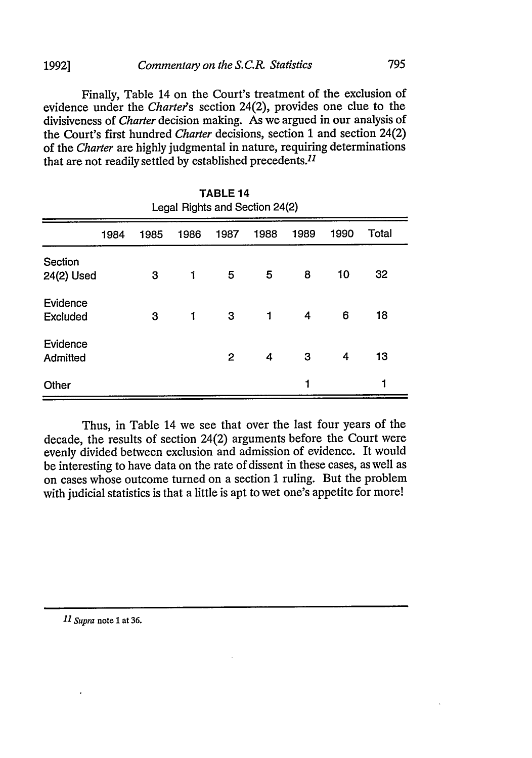#### *Commentary on the S. C.R. Statistics* **1992]**

Finally, Table 14 on the Court's treatment of the exclusion of evidence under the *Chartees* section 24(2), provides one clue to the divisiveness of *Charter* decision making. As we argued in our analysis of the Court's first hundred *Charter* decisions, section **1** and section 24(2) of the *Charter* are highly judgmental in nature, requiring determinations that are not readily settled by established precedents.<sup>11</sup>

795

TABLE 14

| TABLE 14<br>Legal Rights and Section 24(2) |      |      |      |      |      |      |      |       |  |
|--------------------------------------------|------|------|------|------|------|------|------|-------|--|
|                                            | 1984 | 1985 | 1986 | 1987 | 1988 | 1989 | 1990 | Total |  |
| Section<br>24(2) Used                      |      | 3    | 1    | 5    | 5    | 8    | 10   | 32    |  |
| Evidence<br><b>Excluded</b>                |      | 3    | 1    | 3    | 1    | 4    | 6    | 18    |  |
| Evidence<br>Admitted                       |      |      |      | 2    | 4    | 3    | 4    | 13    |  |
| Other                                      |      |      |      |      |      | 1    |      | 1     |  |

Thus, in Table 14 we see that over the last four years of the decade, the results of section 24(2) arguments before the Court were evenly divided between exclusion and admission of evidence. It would be interesting to have data on the rate of dissent in these cases, as well as on cases whose outcome turned on a section 1 ruling. But the problem with judicial statistics is that a little is apt to wet one's appetite for more!

*11 Supra* note 1 at **36.**